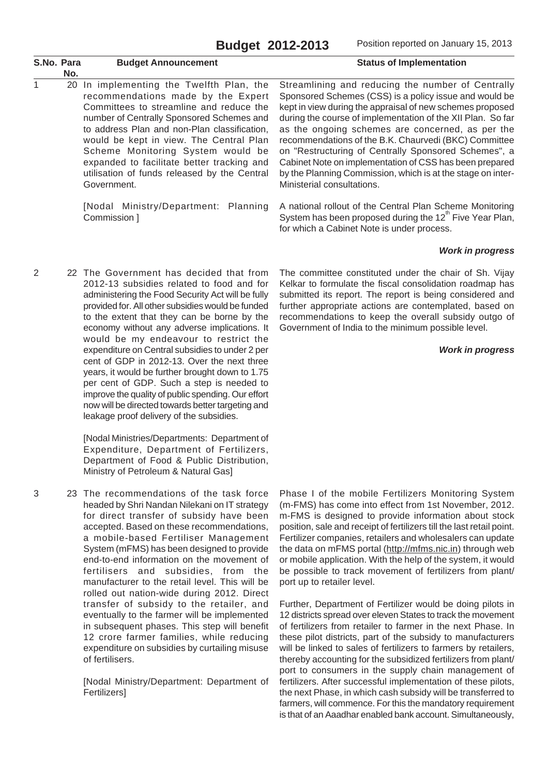| S.No. Para     | No. | <b>Budget Announcement</b>                                                                                                                                                                                                                                                                                                                                                                                                                                                                                                                                                                                                                          | <b>Status of Implementation</b>                                                                                                                                                                                                                                                                                                                                                                                                                                                                                                                                      |
|----------------|-----|-----------------------------------------------------------------------------------------------------------------------------------------------------------------------------------------------------------------------------------------------------------------------------------------------------------------------------------------------------------------------------------------------------------------------------------------------------------------------------------------------------------------------------------------------------------------------------------------------------------------------------------------------------|----------------------------------------------------------------------------------------------------------------------------------------------------------------------------------------------------------------------------------------------------------------------------------------------------------------------------------------------------------------------------------------------------------------------------------------------------------------------------------------------------------------------------------------------------------------------|
| 1              | 20  | In implementing the Twelfth Plan, the<br>recommendations made by the Expert<br>Committees to streamline and reduce the<br>number of Centrally Sponsored Schemes and<br>to address Plan and non-Plan classification,<br>would be kept in view. The Central Plan<br>Scheme Monitoring System would be<br>expanded to facilitate better tracking and<br>utilisation of funds released by the Central<br>Government.                                                                                                                                                                                                                                    | Streamlining and reducing the number of Centrally<br>Sponsored Schemes (CSS) is a policy issue and would be<br>kept in view during the appraisal of new schemes proposed<br>during the course of implementation of the XII Plan. So far<br>as the ongoing schemes are concerned, as per the<br>recommendations of the B.K. Chaurvedi (BKC) Committee<br>on "Restructuring of Centrally Sponsored Schemes", a<br>Cabinet Note on implementation of CSS has been prepared<br>by the Planning Commission, which is at the stage on inter-<br>Ministerial consultations. |
|                |     | [Nodal Ministry/Department: Planning<br>Commission ]                                                                                                                                                                                                                                                                                                                                                                                                                                                                                                                                                                                                | A national rollout of the Central Plan Scheme Monitoring<br>System has been proposed during the 12 <sup>m</sup> Five Year Plan,<br>for which a Cabinet Note is under process.                                                                                                                                                                                                                                                                                                                                                                                        |
|                |     |                                                                                                                                                                                                                                                                                                                                                                                                                                                                                                                                                                                                                                                     | <b>Work in progress</b>                                                                                                                                                                                                                                                                                                                                                                                                                                                                                                                                              |
| $\overline{2}$ |     | 22 The Government has decided that from<br>2012-13 subsidies related to food and for<br>administering the Food Security Act will be fully<br>provided for. All other subsidies would be funded<br>to the extent that they can be borne by the<br>economy without any adverse implications. It<br>would be my endeavour to restrict the<br>expenditure on Central subsidies to under 2 per<br>cent of GDP in 2012-13. Over the next three<br>years, it would be further brought down to 1.75<br>per cent of GDP. Such a step is needed to<br>improve the quality of public spending. Our effort<br>now will be directed towards better targeting and | The committee constituted under the chair of Sh. Vijay<br>Kelkar to formulate the fiscal consolidation roadmap has<br>submitted its report. The report is being considered and<br>further appropriate actions are contemplated, based on<br>recommendations to keep the overall subsidy outgo of<br>Government of India to the minimum possible level.<br><b>Work in progress</b>                                                                                                                                                                                    |

[Nodal Ministries/Departments: Department of Expenditure, Department of Fertilizers, Department of Food & Public Distribution, Ministry of Petroleum & Natural Gas]

leakage proof delivery of the subsidies.

3 23 The recommendations of the task force headed by Shri Nandan Nilekani on IT strategy for direct transfer of subsidy have been accepted. Based on these recommendations, a mobile-based Fertiliser Management System (mFMS) has been designed to provide end-to-end information on the movement of fertilisers and subsidies, from the manufacturer to the retail level. This will be rolled out nation-wide during 2012. Direct transfer of subsidy to the retailer, and eventually to the farmer will be implemented in subsequent phases. This step will benefit 12 crore farmer families, while reducing expenditure on subsidies by curtailing misuse of fertilisers.

> [Nodal Ministry/Department: Department of **Fertilizers1**

Phase I of the mobile Fertilizers Monitoring System (m-FMS) has come into effect from 1st November, 2012. m-FMS is designed to provide information about stock position, sale and receipt of fertilizers till the last retail point. Fertilizer companies, retailers and wholesalers can update the data on mFMS portal (http://mfms.nic.in) through web or mobile application. With the help of the system, it would be possible to track movement of fertilizers from plant/ port up to retailer level.

Further, Department of Fertilizer would be doing pilots in 12 districts spread over eleven States to track the movement of fertilizers from retailer to farmer in the next Phase. In these pilot districts, part of the subsidy to manufacturers will be linked to sales of fertilizers to farmers by retailers, thereby accounting for the subsidized fertilizers from plant/ port to consumers in the supply chain management of fertilizers. After successful implementation of these pilots, the next Phase, in which cash subsidy will be transferred to farmers, will commence. For this the mandatory requirement is that of an Aaadhar enabled bank account. Simultaneously,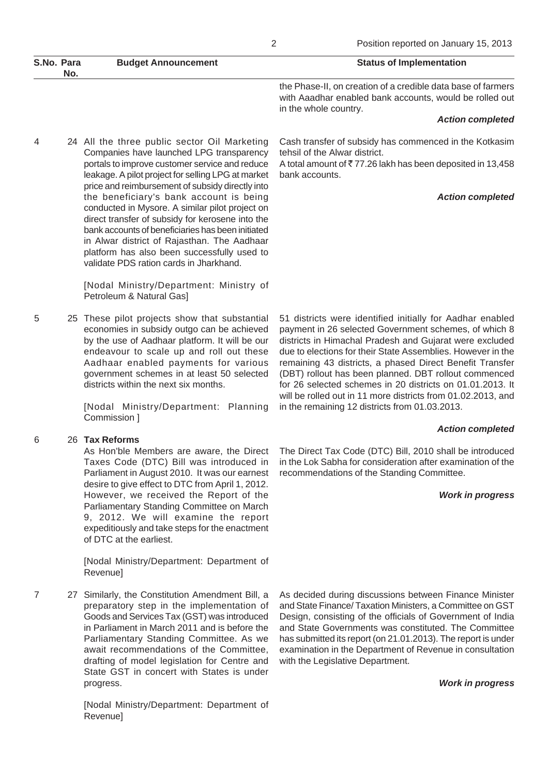| S.No. Para<br>No. | <b>Budget Announcement</b> | <b>Status of Implementation</b>                                                                                                                  |
|-------------------|----------------------------|--------------------------------------------------------------------------------------------------------------------------------------------------|
|                   |                            | the Phase-II, on creation of a credible data base of farmers<br>with Aaadhar enabled bank accounts, would be rolled out<br>in the whole country. |

#### *Action completed*

4 24 All the three public sector Oil Marketing Companies have launched LPG transparency portals to improve customer service and reduce leakage. A pilot project for selling LPG at market price and reimbursement of subsidy directly into the beneficiary's bank account is being conducted in Mysore. A similar pilot project on direct transfer of subsidy for kerosene into the bank accounts of beneficiaries has been initiated in Alwar district of Rajasthan. The Aadhaar platform has also been successfully used to validate PDS ration cards in Jharkhand.

> [Nodal Ministry/Department: Ministry of Petroleum & Natural Gas]

5 25 These pilot projects show that substantial economies in subsidy outgo can be achieved by the use of Aadhaar platform. It will be our endeavour to scale up and roll out these Aadhaar enabled payments for various government schemes in at least 50 selected districts within the next six months.

> [Nodal Ministry/Department: Planning Commission ]

#### 6 26 **Tax Reforms**

As Hon'ble Members are aware, the Direct Taxes Code (DTC) Bill was introduced in Parliament in August 2010. It was our earnest desire to give effect to DTC from April 1, 2012. However, we received the Report of the Parliamentary Standing Committee on March 9, 2012. We will examine the report expeditiously and take steps for the enactment of DTC at the earliest.

[Nodal Ministry/Department: Department of Revenue]

7 27 Similarly, the Constitution Amendment Bill, a preparatory step in the implementation of Goods and Services Tax (GST) was introduced in Parliament in March 2011 and is before the Parliamentary Standing Committee. As we await recommendations of the Committee, drafting of model legislation for Centre and State GST in concert with States is under progress.

> [Nodal Ministry/Department: Department of Revenue]

Cash transfer of subsidy has commenced in the Kotkasim tehsil of the Alwar district.

A total amount of  $\overline{5}$  77.26 lakh has been deposited in 13,458 bank accounts.

#### *Action completed*

51 districts were identified initially for Aadhar enabled payment in 26 selected Government schemes, of which 8 districts in Himachal Pradesh and Gujarat were excluded due to elections for their State Assemblies. However in the remaining 43 districts, a phased Direct Benefit Transfer (DBT) rollout has been planned. DBT rollout commenced for 26 selected schemes in 20 districts on 01.01.2013. It will be rolled out in 11 more districts from 01.02.2013, and in the remaining 12 districts from 01.03.2013.

#### *Action completed*

The Direct Tax Code (DTC) Bill, 2010 shall be introduced in the Lok Sabha for consideration after examination of the recommendations of the Standing Committee.

#### *Work in progress*

As decided during discussions between Finance Minister and State Finance/ Taxation Ministers, a Committee on GST Design, consisting of the officials of Government of India and State Governments was constituted. The Committee has submitted its report (on 21.01.2013). The report is under examination in the Department of Revenue in consultation with the Legislative Department.

*Work in progress*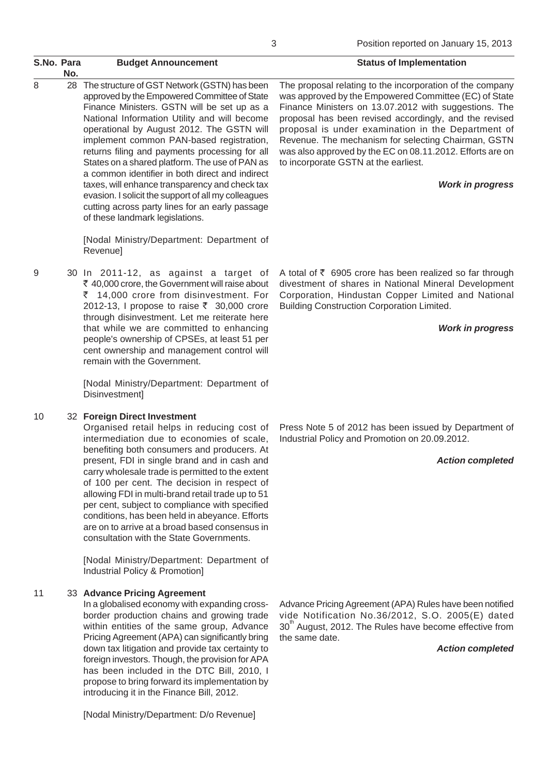| S.No. Para | No.                                                                                                                                                                                                                                                                                                                                                                                                       | <b>Budget Announcement</b>                                                                                                                                                                                                                                                                                                                                                                                                                                                                                                                                                                                                                    | <b>Status of Implementation</b>                                                                                                                                                                                                                                                                                                                                                                                                                                                    |
|------------|-----------------------------------------------------------------------------------------------------------------------------------------------------------------------------------------------------------------------------------------------------------------------------------------------------------------------------------------------------------------------------------------------------------|-----------------------------------------------------------------------------------------------------------------------------------------------------------------------------------------------------------------------------------------------------------------------------------------------------------------------------------------------------------------------------------------------------------------------------------------------------------------------------------------------------------------------------------------------------------------------------------------------------------------------------------------------|------------------------------------------------------------------------------------------------------------------------------------------------------------------------------------------------------------------------------------------------------------------------------------------------------------------------------------------------------------------------------------------------------------------------------------------------------------------------------------|
| 8          |                                                                                                                                                                                                                                                                                                                                                                                                           | 28 The structure of GST Network (GSTN) has been<br>approved by the Empowered Committee of State<br>Finance Ministers. GSTN will be set up as a<br>National Information Utility and will become<br>operational by August 2012. The GSTN will<br>implement common PAN-based registration,<br>returns filing and payments processing for all<br>States on a shared platform. The use of PAN as<br>a common identifier in both direct and indirect<br>taxes, will enhance transparency and check tax<br>evasion. I solicit the support of all my colleagues<br>cutting across party lines for an early passage<br>of these landmark legislations. | The proposal relating to the incorporation of the company<br>was approved by the Empowered Committee (EC) of State<br>Finance Ministers on 13.07.2012 with suggestions. The<br>proposal has been revised accordingly, and the revised<br>proposal is under examination in the Department of<br>Revenue. The mechanism for selecting Chairman, GSTN<br>was also approved by the EC on 08.11.2012. Efforts are on<br>to incorporate GSTN at the earliest.<br><b>Work in progress</b> |
|            |                                                                                                                                                                                                                                                                                                                                                                                                           | [Nodal Ministry/Department: Department of<br>Revenue]                                                                                                                                                                                                                                                                                                                                                                                                                                                                                                                                                                                         |                                                                                                                                                                                                                                                                                                                                                                                                                                                                                    |
| 9          | 30 In 2011-12, as against a target of<br>₹ 40,000 crore, the Government will raise about<br>₹ 14,000 crore from disinvestment. For<br>2012-13, I propose to raise ₹ 30,000 crore<br>through disinvestment. Let me reiterate here<br>that while we are committed to enhancing<br>people's ownership of CPSEs, at least 51 per<br>cent ownership and management control will<br>remain with the Government. | A total of $\bar{\tau}$ 6905 crore has been realized so far through<br>divestment of shares in National Mineral Development<br>Corporation, Hindustan Copper Limited and National<br><b>Building Construction Corporation Limited.</b><br><b>Work in progress</b>                                                                                                                                                                                                                                                                                                                                                                             |                                                                                                                                                                                                                                                                                                                                                                                                                                                                                    |
|            |                                                                                                                                                                                                                                                                                                                                                                                                           | [Nodal Ministry/Department: Department of<br>Disinvestment]                                                                                                                                                                                                                                                                                                                                                                                                                                                                                                                                                                                   |                                                                                                                                                                                                                                                                                                                                                                                                                                                                                    |
| 10         |                                                                                                                                                                                                                                                                                                                                                                                                           | 32 Foreign Direct Investment<br>Organised retail helps in reducing cost of<br>intermediation due to economies of scale,<br>benefiting both consumers and producers. At<br>present, FDI in single brand and in cash and<br>carry wholesale trade is permitted to the extent<br>of 100 per cent. The decision in respect of<br>allowing FDI in multi-brand retail trade up to 51<br>per cent, subject to compliance with specified<br>conditions, has been held in abeyance. Efforts<br>are on to arrive at a broad based consensus in<br>consultation with the State Governments.                                                              | Press Note 5 of 2012 has been issued by Department of<br>Industrial Policy and Promotion on 20.09.2012.<br><b>Action completed</b>                                                                                                                                                                                                                                                                                                                                                 |
|            |                                                                                                                                                                                                                                                                                                                                                                                                           | [Nodal Ministry/Department: Department of<br>Industrial Policy & Promotion]                                                                                                                                                                                                                                                                                                                                                                                                                                                                                                                                                                   |                                                                                                                                                                                                                                                                                                                                                                                                                                                                                    |
| 11         |                                                                                                                                                                                                                                                                                                                                                                                                           | 33 Advance Pricing Agreement<br>In a globalised economy with expanding cross-<br>border production chains and growing trade<br>within entities of the same group, Advance<br>Pricing Agreement (APA) can significantly bring<br>down tax litigation and provide tax certainty to<br>foreign investors. Though, the provision for APA<br>has been included in the DTC Bill, 2010, I<br>propose to bring forward its implementation by<br>introducing it in the Finance Bill, 2012.                                                                                                                                                             | Advance Pricing Agreement (APA) Rules have been notified<br>vide Notification No.36/2012, S.O. 2005(E) dated<br>30 <sup>"</sup> August, 2012. The Rules have become effective from<br>the same date.<br><b>Action completed</b>                                                                                                                                                                                                                                                    |
|            |                                                                                                                                                                                                                                                                                                                                                                                                           | [Nodal Ministry/Department: D/o Revenue]                                                                                                                                                                                                                                                                                                                                                                                                                                                                                                                                                                                                      |                                                                                                                                                                                                                                                                                                                                                                                                                                                                                    |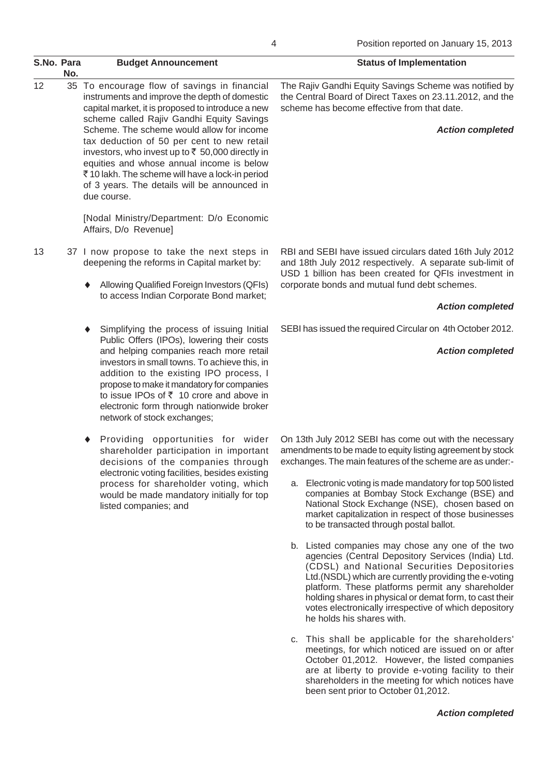| S.No. Para | No. | <b>Budget Announcement</b>                                                                                                                                                                                                                                                                                                                                                                                                                                                                                    | <b>Status of Implementation</b>                                                                                                                                                                                                                                     |
|------------|-----|---------------------------------------------------------------------------------------------------------------------------------------------------------------------------------------------------------------------------------------------------------------------------------------------------------------------------------------------------------------------------------------------------------------------------------------------------------------------------------------------------------------|---------------------------------------------------------------------------------------------------------------------------------------------------------------------------------------------------------------------------------------------------------------------|
| 12         |     | 35 To encourage flow of savings in financial<br>instruments and improve the depth of domestic<br>capital market, it is proposed to introduce a new<br>scheme called Rajiv Gandhi Equity Savings<br>Scheme. The scheme would allow for income<br>tax deduction of 50 per cent to new retail<br>investors, who invest up to ₹ 50,000 directly in<br>equities and whose annual income is below<br>₹10 lakh. The scheme will have a lock-in period<br>of 3 years. The details will be announced in<br>due course. | The Rajiv Gandhi Equity Savings Scheme was notified by<br>the Central Board of Direct Taxes on 23.11.2012, and the<br>scheme has become effective from that date.<br><b>Action completed</b>                                                                        |
|            |     | [Nodal Ministry/Department: D/o Economic<br>Affairs, D/o Revenue]                                                                                                                                                                                                                                                                                                                                                                                                                                             |                                                                                                                                                                                                                                                                     |
| 13         |     | 37 I now propose to take the next steps in<br>deepening the reforms in Capital market by:<br>Allowing Qualified Foreign Investors (QFIs)<br>٠                                                                                                                                                                                                                                                                                                                                                                 | RBI and SEBI have issued circulars dated 16th July 2012<br>and 18th July 2012 respectively. A separate sub-limit of<br>USD 1 billion has been created for QFIs investment in<br>corporate bonds and mutual fund debt schemes.                                       |
|            |     | to access Indian Corporate Bond market;                                                                                                                                                                                                                                                                                                                                                                                                                                                                       | <b>Action completed</b>                                                                                                                                                                                                                                             |
|            |     | Simplifying the process of issuing Initial<br>٠<br>Public Offers (IPOs), lowering their costs<br>and helping companies reach more retail<br>investors in small towns. To achieve this, in<br>addition to the existing IPO process, I<br>propose to make it mandatory for companies<br>to issue IPOs of $\overline{z}$ 10 crore and above in<br>electronic form through nationwide broker<br>network of stock exchanges;                                                                                       | SEBI has issued the required Circular on 4th October 2012.                                                                                                                                                                                                          |
|            |     |                                                                                                                                                                                                                                                                                                                                                                                                                                                                                                               | <b>Action completed</b>                                                                                                                                                                                                                                             |
|            |     | Providing opportunities for wider<br>٠<br>shareholder participation in important<br>decisions of the companies through                                                                                                                                                                                                                                                                                                                                                                                        | On 13th July 2012 SEBI has come out with the necessary<br>amendments to be made to equity listing agreement by stock<br>exchanges. The main features of the scheme are as under:-                                                                                   |
|            |     | electronic voting facilities, besides existing<br>process for shareholder voting, which<br>would be made mandatory initially for top<br>listed companies; and                                                                                                                                                                                                                                                                                                                                                 | a. Electronic voting is made mandatory for top 500 listed<br>companies at Bombay Stock Exchange (BSE) and<br>National Stock Exchange (NSE), chosen based on<br>market capitalization in respect of those businesses<br>to be transacted through postal ballot.      |
|            |     |                                                                                                                                                                                                                                                                                                                                                                                                                                                                                                               | b. Listed companies may chose any one of the two<br>agencies (Central Depository Services (India) Ltd.<br>(CDSL) and National Securities Depositories<br>Ltd. (NSDL) which are currently providing the e-voting<br>platform. These platforms permit any shareholder |

*Action completed*

holding shares in physical or demat form, to cast their votes electronically irrespective of which depository

c. This shall be applicable for the shareholders' meetings, for which noticed are issued on or after October 01,2012. However, the listed companies are at liberty to provide e-voting facility to their shareholders in the meeting for which notices have

been sent prior to October 01,2012.

he holds his shares with.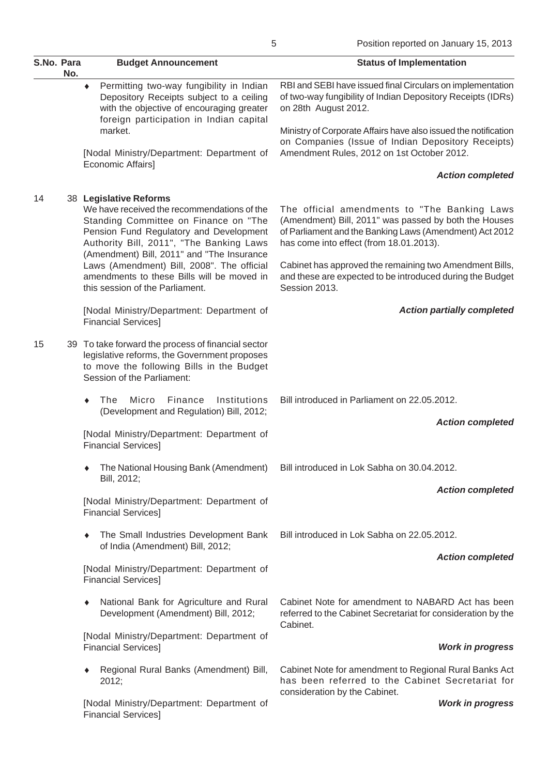| S.No. Para | No. | <b>Budget Announcement</b>                                                                                                                                                                            | <b>Status of Implementation</b>                                                                                                                                                                             |
|------------|-----|-------------------------------------------------------------------------------------------------------------------------------------------------------------------------------------------------------|-------------------------------------------------------------------------------------------------------------------------------------------------------------------------------------------------------------|
|            |     | Permitting two-way fungibility in Indian<br>۰<br>Depository Receipts subject to a ceiling<br>with the objective of encouraging greater<br>foreign participation in Indian capital                     | RBI and SEBI have issued final Circulars on implementation<br>of two-way fungibility of Indian Depository Receipts (IDRs)<br>on 28th August 2012.                                                           |
|            |     | market.<br>[Nodal Ministry/Department: Department of                                                                                                                                                  | Ministry of Corporate Affairs have also issued the notification<br>on Companies (Issue of Indian Depository Receipts)<br>Amendment Rules, 2012 on 1st October 2012.                                         |
|            |     | Economic Affairs]                                                                                                                                                                                     | <b>Action completed</b>                                                                                                                                                                                     |
| 14         |     | 38 Legislative Reforms<br>We have received the recommendations of the<br>Standing Committee on Finance on "The<br>Pension Fund Regulatory and Development<br>Authority Bill, 2011", "The Banking Laws | The official amendments to "The Banking Laws<br>(Amendment) Bill, 2011" was passed by both the Houses<br>of Parliament and the Banking Laws (Amendment) Act 2012<br>has come into effect (from 18.01.2013). |
|            |     | (Amendment) Bill, 2011" and "The Insurance<br>Laws (Amendment) Bill, 2008". The official<br>amendments to these Bills will be moved in<br>this session of the Parliament.                             | Cabinet has approved the remaining two Amendment Bills,<br>and these are expected to be introduced during the Budget<br>Session 2013.                                                                       |
|            |     | [Nodal Ministry/Department: Department of<br><b>Financial Services]</b>                                                                                                                               | <b>Action partially completed</b>                                                                                                                                                                           |
| 15         |     | 39 To take forward the process of financial sector<br>legislative reforms, the Government proposes<br>to move the following Bills in the Budget<br>Session of the Parliament:                         |                                                                                                                                                                                                             |
|            |     | Micro<br>Finance<br>Institutions<br>The<br>٠<br>(Development and Regulation) Bill, 2012;                                                                                                              | Bill introduced in Parliament on 22.05.2012.                                                                                                                                                                |
|            |     | [Nodal Ministry/Department: Department of<br><b>Financial Services]</b>                                                                                                                               | <b>Action completed</b>                                                                                                                                                                                     |
|            |     | Bill, 2012;                                                                                                                                                                                           | The National Housing Bank (Amendment) Bill introduced in Lok Sabha on 30.04.2012.                                                                                                                           |
|            |     | [Nodal Ministry/Department: Department of<br><b>Financial Services]</b>                                                                                                                               | <b>Action completed</b>                                                                                                                                                                                     |
|            |     | The Small Industries Development Bank<br>٠<br>of India (Amendment) Bill, 2012;                                                                                                                        | Bill introduced in Lok Sabha on 22.05.2012.                                                                                                                                                                 |
|            |     | [Nodal Ministry/Department: Department of<br><b>Financial Services]</b>                                                                                                                               | <b>Action completed</b>                                                                                                                                                                                     |
|            |     | National Bank for Agriculture and Rural<br>۰<br>Development (Amendment) Bill, 2012;                                                                                                                   | Cabinet Note for amendment to NABARD Act has been<br>referred to the Cabinet Secretariat for consideration by the<br>Cabinet.                                                                               |
|            |     | [Nodal Ministry/Department: Department of<br><b>Financial Services]</b>                                                                                                                               | <b>Work in progress</b>                                                                                                                                                                                     |
|            |     | Regional Rural Banks (Amendment) Bill,<br>۰<br>2012;                                                                                                                                                  | Cabinet Note for amendment to Regional Rural Banks Act<br>has been referred to the Cabinet Secretariat for<br>consideration by the Cabinet.                                                                 |
|            |     | [Nodal Ministry/Department: Department of                                                                                                                                                             | <b>Work in progress</b>                                                                                                                                                                                     |

Financial Services]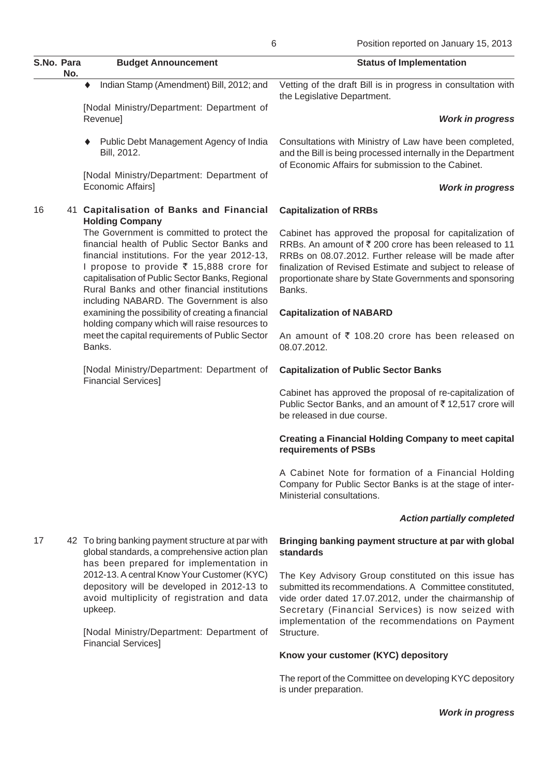|            |     |                                                                                                                                                                                                                                                                                                                                                                                                                                                                                                        | O<br>POSItion reported on January 15, 2013                                                                                                                                                                                                                                                                    |
|------------|-----|--------------------------------------------------------------------------------------------------------------------------------------------------------------------------------------------------------------------------------------------------------------------------------------------------------------------------------------------------------------------------------------------------------------------------------------------------------------------------------------------------------|---------------------------------------------------------------------------------------------------------------------------------------------------------------------------------------------------------------------------------------------------------------------------------------------------------------|
| S.No. Para | No. | <b>Budget Announcement</b>                                                                                                                                                                                                                                                                                                                                                                                                                                                                             | <b>Status of Implementation</b>                                                                                                                                                                                                                                                                               |
|            |     | Indian Stamp (Amendment) Bill, 2012; and<br>٠                                                                                                                                                                                                                                                                                                                                                                                                                                                          | Vetting of the draft Bill is in progress in consultation with<br>the Legislative Department.                                                                                                                                                                                                                  |
|            |     | [Nodal Ministry/Department: Department of<br>Revenue]                                                                                                                                                                                                                                                                                                                                                                                                                                                  | <b>Work in progress</b>                                                                                                                                                                                                                                                                                       |
|            |     | Public Debt Management Agency of India<br>Bill, 2012.                                                                                                                                                                                                                                                                                                                                                                                                                                                  | Consultations with Ministry of Law have been completed,<br>and the Bill is being processed internally in the Department<br>of Economic Affairs for submission to the Cabinet.                                                                                                                                 |
|            |     | [Nodal Ministry/Department: Department of<br>Economic Affairs]                                                                                                                                                                                                                                                                                                                                                                                                                                         | <b>Work in progress</b>                                                                                                                                                                                                                                                                                       |
| 16         |     | 41 Capitalisation of Banks and Financial<br><b>Holding Company</b>                                                                                                                                                                                                                                                                                                                                                                                                                                     | <b>Capitalization of RRBs</b>                                                                                                                                                                                                                                                                                 |
|            |     | The Government is committed to protect the<br>financial health of Public Sector Banks and<br>financial institutions. For the year 2012-13,<br>I propose to provide ₹ 15,888 crore for<br>capitalisation of Public Sector Banks, Regional<br>Rural Banks and other financial institutions<br>including NABARD. The Government is also<br>examining the possibility of creating a financial<br>holding company which will raise resources to<br>meet the capital requirements of Public Sector<br>Banks. | Cabinet has approved the proposal for capitalization of<br>RRBs. An amount of ₹200 crore has been released to 11<br>RRBs on 08.07.2012. Further release will be made after<br>finalization of Revised Estimate and subject to release of<br>proportionate share by State Governments and sponsoring<br>Banks. |
|            |     |                                                                                                                                                                                                                                                                                                                                                                                                                                                                                                        | <b>Capitalization of NABARD</b>                                                                                                                                                                                                                                                                               |
|            |     |                                                                                                                                                                                                                                                                                                                                                                                                                                                                                                        | An amount of ₹ 108.20 crore has been released on<br>08.07.2012.                                                                                                                                                                                                                                               |
|            |     | [Nodal Ministry/Department: Department of                                                                                                                                                                                                                                                                                                                                                                                                                                                              | <b>Capitalization of Public Sector Banks</b>                                                                                                                                                                                                                                                                  |
|            |     | <b>Financial Services]</b>                                                                                                                                                                                                                                                                                                                                                                                                                                                                             | Cabinet has approved the proposal of re-capitalization of<br>Public Sector Banks, and an amount of ₹12,517 crore will<br>be released in due course.                                                                                                                                                           |
|            |     |                                                                                                                                                                                                                                                                                                                                                                                                                                                                                                        | <b>Creating a Financial Holding Company to meet capital</b><br>requirements of PSBs                                                                                                                                                                                                                           |
|            |     |                                                                                                                                                                                                                                                                                                                                                                                                                                                                                                        | A Cabinet Note for formation of a Financial Holding<br>Company for Public Sector Banks is at the stage of inter-<br>Ministerial consultations.                                                                                                                                                                |
|            |     |                                                                                                                                                                                                                                                                                                                                                                                                                                                                                                        | <b>Action partially completed</b>                                                                                                                                                                                                                                                                             |
| 17         |     | 42 To bring banking payment structure at par with<br>global standards, a comprehensive action plan                                                                                                                                                                                                                                                                                                                                                                                                     | Bringing banking payment structure at par with global<br>standards                                                                                                                                                                                                                                            |
|            |     | has been prepared for implementation in<br>2012-13. A central Know Your Customer (KYC)<br>depository will be developed in 2012-13 to<br>avoid multiplicity of registration and data<br>upkeep.                                                                                                                                                                                                                                                                                                         | The Key Advisory Group constituted on this issue has<br>submitted its recommendations. A Committee constituted,<br>vide order dated 17.07.2012, under the chairmanship of<br>Secretary (Financial Services) is now seized with<br>implementation of the recommendations on Payment                            |
|            |     | [Nodal Ministry/Department: Department of<br><b>Financial Services]</b>                                                                                                                                                                                                                                                                                                                                                                                                                                | Structure.                                                                                                                                                                                                                                                                                                    |
|            |     |                                                                                                                                                                                                                                                                                                                                                                                                                                                                                                        | Know your customer (KYC) depository                                                                                                                                                                                                                                                                           |

The report of the Committee on developing KYC depository is under preparation.

*Work in progress*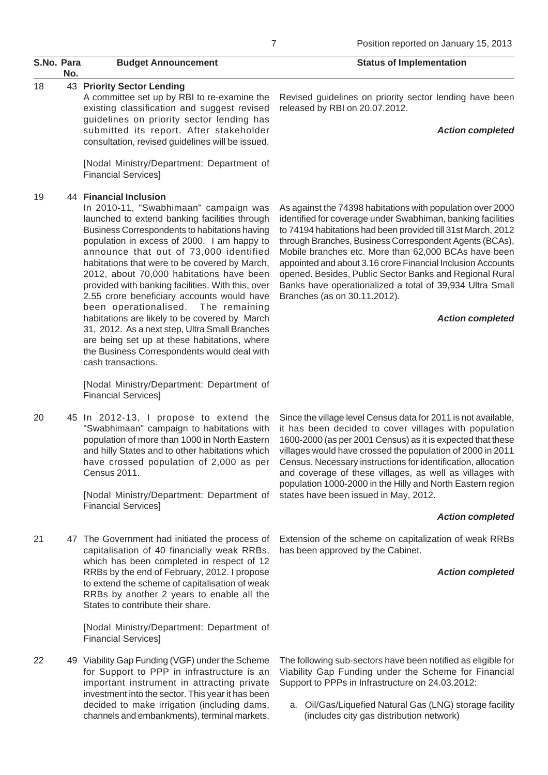# S.No. Para Budget Announcement **S.No. Para** Status of Implementation **No.**

## 18 43 **Priority Sector Lending**

A committee set up by RBI to re-examine the existing classification and suggest revised guidelines on priority sector lending has submitted its report. After stakeholder consultation, revised guidelines will be issued.

[Nodal Ministry/Department: Department of Financial Services]

## 19 44 **Financial Inclusion**

In 2010-11, "Swabhimaan" campaign was launched to extend banking facilities through Business Correspondents to habitations having population in excess of 2000. I am happy to announce that out of 73,000 identified habitations that were to be covered by March, 2012, about 70,000 habitations have been provided with banking facilities. With this, over 2.55 crore beneficiary accounts would have been operationalised. The remaining habitations are likely to be covered by March 31, 2012. As a next step, Ultra Small Branches are being set up at these habitations, where the Business Correspondents would deal with cash transactions.

[Nodal Ministry/Department: Department of Financial Services]

20 45 In 2012-13, I propose to extend the "Swabhimaan" campaign to habitations with population of more than 1000 in North Eastern and hilly States and to other habitations which have crossed population of 2,000 as per Census 2011.

> [Nodal Ministry/Department: Department of Financial Services]

21 47 The Government had initiated the process of capitalisation of 40 financially weak RRBs, which has been completed in respect of 12 RRBs by the end of February, 2012. I propose to extend the scheme of capitalisation of weak RRBs by another 2 years to enable all the States to contribute their share.

> [Nodal Ministry/Department: Department of Financial Services]

22 49 Viability Gap Funding (VGF) under the Scheme for Support to PPP in infrastructure is an important instrument in attracting private investment into the sector. This year it has been decided to make irrigation (including dams, channels and embankments), terminal markets,

Revised guidelines on priority sector lending have been released by RBI on 20.07.2012.

#### *Action completed*

As against the 74398 habitations with population over 2000 identified for coverage under Swabhiman, banking facilities to 74194 habitations had been provided till 31st March, 2012 through Branches, Business Correspondent Agents (BCAs), Mobile branches etc. More than 62,000 BCAs have been appointed and about 3.16 crore Financial Inclusion Accounts opened. Besides, Public Sector Banks and Regional Rural Banks have operationalized a total of 39,934 Ultra Small Branches (as on 30.11.2012).

### *Action completed*

Since the village level Census data for 2011 is not available, it has been decided to cover villages with population 1600-2000 (as per 2001 Census) as it is expected that these villages would have crossed the population of 2000 in 2011 Census. Necessary instructions for identification, allocation and coverage of these villages, as well as villages with population 1000-2000 in the Hilly and North Eastern region states have been issued in May, 2012.

## *Action completed*

Extension of the scheme on capitalization of weak RRBs has been approved by the Cabinet.

## *Action completed*

The following sub-sectors have been notified as eligible for Viability Gap Funding under the Scheme for Financial Support to PPPs in Infrastructure on 24.03.2012:

a. Oil/Gas/Liquefied Natural Gas (LNG) storage facility (includes city gas distribution network)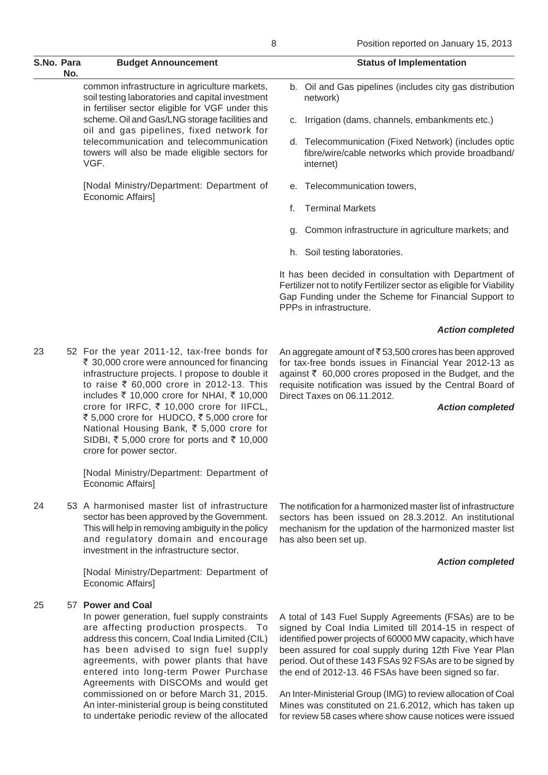| S.No. Para | No. | <b>Budget Announcement</b>                                                                                                                                                                                                                                                                                                                                                                                                                               | <b>Status of Implementation</b>                                                                                                                                                                                                                                                                     |
|------------|-----|----------------------------------------------------------------------------------------------------------------------------------------------------------------------------------------------------------------------------------------------------------------------------------------------------------------------------------------------------------------------------------------------------------------------------------------------------------|-----------------------------------------------------------------------------------------------------------------------------------------------------------------------------------------------------------------------------------------------------------------------------------------------------|
|            |     | common infrastructure in agriculture markets,<br>soil testing laboratories and capital investment<br>in fertiliser sector eligible for VGF under this                                                                                                                                                                                                                                                                                                    | b. Oil and Gas pipelines (includes city gas distribution<br>network)                                                                                                                                                                                                                                |
|            |     | scheme. Oil and Gas/LNG storage facilities and<br>oil and gas pipelines, fixed network for                                                                                                                                                                                                                                                                                                                                                               | Irrigation (dams, channels, embankments etc.)<br>C.                                                                                                                                                                                                                                                 |
|            |     | telecommunication and telecommunication<br>towers will also be made eligible sectors for<br>VGF.                                                                                                                                                                                                                                                                                                                                                         | d. Telecommunication (Fixed Network) (includes optic<br>fibre/wire/cable networks which provide broadband/<br>internet)                                                                                                                                                                             |
|            |     | [Nodal Ministry/Department: Department of<br>Economic Affairs]                                                                                                                                                                                                                                                                                                                                                                                           | e. Telecommunication towers,                                                                                                                                                                                                                                                                        |
|            |     |                                                                                                                                                                                                                                                                                                                                                                                                                                                          | <b>Terminal Markets</b><br>f.                                                                                                                                                                                                                                                                       |
|            |     |                                                                                                                                                                                                                                                                                                                                                                                                                                                          | Common infrastructure in agriculture markets; and<br>g.                                                                                                                                                                                                                                             |
|            |     |                                                                                                                                                                                                                                                                                                                                                                                                                                                          | h. Soil testing laboratories.                                                                                                                                                                                                                                                                       |
|            |     |                                                                                                                                                                                                                                                                                                                                                                                                                                                          | It has been decided in consultation with Department of<br>Fertilizer not to notify Fertilizer sector as eligible for Viability<br>Gap Funding under the Scheme for Financial Support to<br>PPPs in infrastructure.                                                                                  |
|            |     |                                                                                                                                                                                                                                                                                                                                                                                                                                                          | <b>Action completed</b>                                                                                                                                                                                                                                                                             |
| 23         |     | 52 For the year 2011-12, tax-free bonds for<br>₹ 30,000 crore were announced for financing<br>infrastructure projects. I propose to double it<br>to raise ₹ 60,000 crore in 2012-13. This<br>includes ₹ 10,000 crore for NHAI, ₹ 10,000<br>crore for IRFC, ₹ 10,000 crore for IIFCL,<br>₹ 5,000 crore for HUDCO, ₹ 5,000 crore for<br>National Housing Bank, ₹ 5,000 crore for<br>SIDBI, ₹ 5,000 crore for ports and ₹ 10,000<br>crore for power sector. | An aggregate amount of ₹53,500 crores has been approved<br>for tax-free bonds issues in Financial Year 2012-13 as<br>against ₹ 60,000 crores proposed in the Budget, and the<br>requisite notification was issued by the Central Board of<br>Direct Taxes on 06.11.2012.<br><b>Action completed</b> |
|            |     | [Nodal Ministry/Department: Department of<br>Economic Affairs]                                                                                                                                                                                                                                                                                                                                                                                           |                                                                                                                                                                                                                                                                                                     |
| 24         |     | 53 A harmonised master list of infrastructure<br>sector has been approved by the Government.<br>This will help in removing ambiguity in the policy<br>and regulatory domain and encourage<br>investment in the infrastructure sector.                                                                                                                                                                                                                    | The notification for a harmonized master list of infrastructure<br>sectors has been issued on 28.3.2012. An institutional<br>mechanism for the updation of the harmonized master list<br>has also been set up.                                                                                      |
|            |     | [Nodal Ministry/Department: Department of                                                                                                                                                                                                                                                                                                                                                                                                                | <b>Action completed</b>                                                                                                                                                                                                                                                                             |

Economic Affairs]

## 25 57 **Power and Coal**

In power generation, fuel supply constraints are affecting production prospects. To address this concern, Coal India Limited (CIL) has been advised to sign fuel supply agreements, with power plants that have entered into long-term Power Purchase Agreements with DISCOMs and would get commissioned on or before March 31, 2015. An inter-ministerial group is being constituted to undertake periodic review of the allocated A total of 143 Fuel Supply Agreements (FSAs) are to be signed by Coal India Limited till 2014-15 in respect of identified power projects of 60000 MW capacity, which have been assured for coal supply during 12th Five Year Plan period. Out of these 143 FSAs 92 FSAs are to be signed by the end of 2012-13. 46 FSAs have been signed so far.

An Inter-Ministerial Group (IMG) to review allocation of Coal Mines was constituted on 21.6.2012, which has taken up for review 58 cases where show cause notices were issued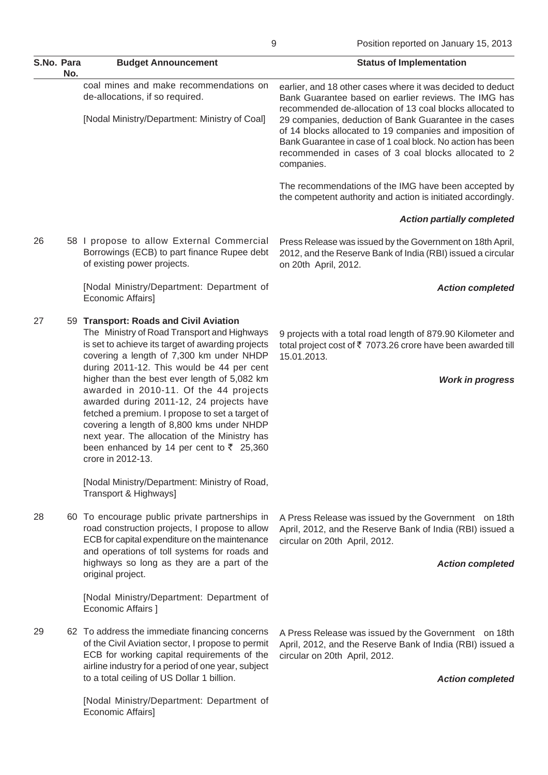| S.No. Para | No. | <b>Budget Announcement</b>                                                                                                                                                                                                                                                                                                                                                                                                                                                                                                                                                                               | <b>Status of Implementation</b>                                                                                                                                                                                                                                                                                                                                                                                                          |
|------------|-----|----------------------------------------------------------------------------------------------------------------------------------------------------------------------------------------------------------------------------------------------------------------------------------------------------------------------------------------------------------------------------------------------------------------------------------------------------------------------------------------------------------------------------------------------------------------------------------------------------------|------------------------------------------------------------------------------------------------------------------------------------------------------------------------------------------------------------------------------------------------------------------------------------------------------------------------------------------------------------------------------------------------------------------------------------------|
|            |     | coal mines and make recommendations on<br>de-allocations, if so required.<br>[Nodal Ministry/Department: Ministry of Coal]                                                                                                                                                                                                                                                                                                                                                                                                                                                                               | earlier, and 18 other cases where it was decided to deduct<br>Bank Guarantee based on earlier reviews. The IMG has<br>recommended de-allocation of 13 coal blocks allocated to<br>29 companies, deduction of Bank Guarantee in the cases<br>of 14 blocks allocated to 19 companies and imposition of<br>Bank Guarantee in case of 1 coal block. No action has been<br>recommended in cases of 3 coal blocks allocated to 2<br>companies. |
|            |     |                                                                                                                                                                                                                                                                                                                                                                                                                                                                                                                                                                                                          | The recommendations of the IMG have been accepted by<br>the competent authority and action is initiated accordingly.                                                                                                                                                                                                                                                                                                                     |
|            |     |                                                                                                                                                                                                                                                                                                                                                                                                                                                                                                                                                                                                          | <b>Action partially completed</b>                                                                                                                                                                                                                                                                                                                                                                                                        |
| 26         |     | 58 I propose to allow External Commercial<br>Borrowings (ECB) to part finance Rupee debt<br>of existing power projects.                                                                                                                                                                                                                                                                                                                                                                                                                                                                                  | Press Release was issued by the Government on 18th April,<br>2012, and the Reserve Bank of India (RBI) issued a circular<br>on 20th April, 2012.                                                                                                                                                                                                                                                                                         |
|            |     | [Nodal Ministry/Department: Department of<br>Economic Affairs]                                                                                                                                                                                                                                                                                                                                                                                                                                                                                                                                           | <b>Action completed</b>                                                                                                                                                                                                                                                                                                                                                                                                                  |
| 27         |     | 59 Transport: Roads and Civil Aviation<br>The Ministry of Road Transport and Highways<br>is set to achieve its target of awarding projects<br>covering a length of 7,300 km under NHDP<br>during 2011-12. This would be 44 per cent<br>higher than the best ever length of 5,082 km<br>awarded in 2010-11. Of the 44 projects<br>awarded during 2011-12, 24 projects have<br>fetched a premium. I propose to set a target of<br>covering a length of 8,800 kms under NHDP<br>next year. The allocation of the Ministry has<br>been enhanced by 14 per cent to $\overline{z}$ 25,360<br>crore in 2012-13. | 9 projects with a total road length of 879.90 Kilometer and<br>total project cost of ₹ 7073.26 crore have been awarded till<br>15.01.2013.<br><b>Work in progress</b>                                                                                                                                                                                                                                                                    |
|            |     | [Nodal Ministry/Department: Ministry of Road,<br>Transport & Highways]                                                                                                                                                                                                                                                                                                                                                                                                                                                                                                                                   |                                                                                                                                                                                                                                                                                                                                                                                                                                          |
| 28         |     | 60 To encourage public private partnerships in<br>road construction projects, I propose to allow<br>ECB for capital expenditure on the maintenance<br>and operations of toll systems for roads and<br>highways so long as they are a part of the<br>original project.                                                                                                                                                                                                                                                                                                                                    | A Press Release was issued by the Government on 18th<br>April, 2012, and the Reserve Bank of India (RBI) issued a<br>circular on 20th April, 2012.<br><b>Action completed</b>                                                                                                                                                                                                                                                            |
|            |     | [Nodal Ministry/Department: Department of<br>Economic Affairs ]                                                                                                                                                                                                                                                                                                                                                                                                                                                                                                                                          |                                                                                                                                                                                                                                                                                                                                                                                                                                          |
| 29         |     | 62 To address the immediate financing concerns<br>of the Civil Aviation sector, I propose to permit<br>ECB for working capital requirements of the<br>airline industry for a period of one year, subject<br>to a total ceiling of US Dollar 1 billion.                                                                                                                                                                                                                                                                                                                                                   | A Press Release was issued by the Government on 18th<br>April, 2012, and the Reserve Bank of India (RBI) issued a<br>circular on 20th April, 2012.<br><b>Action completed</b>                                                                                                                                                                                                                                                            |
|            |     | [Nodal Ministry/Department: Department of<br>Economic Affairs]                                                                                                                                                                                                                                                                                                                                                                                                                                                                                                                                           |                                                                                                                                                                                                                                                                                                                                                                                                                                          |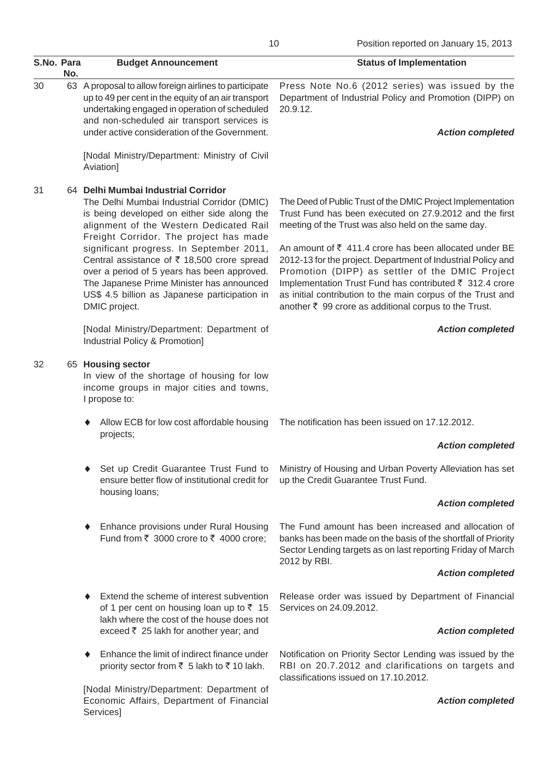| S.No. Para | No. | <b>Budget Announcement</b>                                                                                                                                                                                                                                     | <b>Status of Implementation</b>                                                                                                                                                                                                                                                                                                                                               |
|------------|-----|----------------------------------------------------------------------------------------------------------------------------------------------------------------------------------------------------------------------------------------------------------------|-------------------------------------------------------------------------------------------------------------------------------------------------------------------------------------------------------------------------------------------------------------------------------------------------------------------------------------------------------------------------------|
| 30         |     | 63 A proposal to allow foreign airlines to participate<br>up to 49 per cent in the equity of an air transport<br>undertaking engaged in operation of scheduled<br>and non-scheduled air transport services is<br>under active consideration of the Government. | Press Note No.6 (2012 series) was issued by the<br>Department of Industrial Policy and Promotion (DIPP) on<br>20.9.12.<br><b>Action completed</b>                                                                                                                                                                                                                             |
|            |     | [Nodal Ministry/Department: Ministry of Civil<br>Aviation]                                                                                                                                                                                                     |                                                                                                                                                                                                                                                                                                                                                                               |
| 31         |     | 64 Delhi Mumbai Industrial Corridor<br>The Delhi Mumbai Industrial Corridor (DMIC)<br>is being developed on either side along the<br>alignment of the Western Dedicated Rail<br>Freight Corridor. The project has made                                         | The Deed of Public Trust of the DMIC Project Implementation<br>Trust Fund has been executed on 27.9.2012 and the first<br>meeting of the Trust was also held on the same day.                                                                                                                                                                                                 |
|            |     | significant progress. In September 2011,<br>Central assistance of ₹ 18,500 crore spread<br>over a period of 5 years has been approved.<br>The Japanese Prime Minister has announced<br>US\$ 4.5 billion as Japanese participation in<br>DMIC project.          | An amount of $\overline{\zeta}$ 411.4 crore has been allocated under BE<br>2012-13 for the project. Department of Industrial Policy and<br>Promotion (DIPP) as settler of the DMIC Project<br>Implementation Trust Fund has contributed ₹ 312.4 crore<br>as initial contribution to the main corpus of the Trust and<br>another ₹ 99 crore as additional corpus to the Trust. |
|            |     | [Nodal Ministry/Department: Department of<br>Industrial Policy & Promotion]                                                                                                                                                                                    | <b>Action completed</b>                                                                                                                                                                                                                                                                                                                                                       |
| 32         |     | 65 Housing sector<br>In view of the shortage of housing for low<br>income groups in major cities and towns,<br>I propose to:                                                                                                                                   |                                                                                                                                                                                                                                                                                                                                                                               |
|            |     | Allow ECB for low cost affordable housing<br>projects;                                                                                                                                                                                                         | The notification has been issued on 17.12.2012.                                                                                                                                                                                                                                                                                                                               |
|            |     |                                                                                                                                                                                                                                                                | <b>Action completed</b>                                                                                                                                                                                                                                                                                                                                                       |
|            |     | Set up Credit Guarantee Trust Fund to<br>ensure better flow of institutional credit for<br>housing loans;                                                                                                                                                      | Ministry of Housing and Urban Poverty Alleviation has set<br>up the Credit Guarantee Trust Fund.                                                                                                                                                                                                                                                                              |
|            |     |                                                                                                                                                                                                                                                                | <b>Action completed</b>                                                                                                                                                                                                                                                                                                                                                       |
|            |     | Enhance provisions under Rural Housing<br>Fund from ₹ 3000 crore to ₹ 4000 crore;                                                                                                                                                                              | The Fund amount has been increased and allocation of<br>banks has been made on the basis of the shortfall of Priority<br>Sector Lending targets as on last reporting Friday of March<br>2012 by RBI.                                                                                                                                                                          |
|            |     |                                                                                                                                                                                                                                                                | <b>Action completed</b>                                                                                                                                                                                                                                                                                                                                                       |
|            |     | Extend the scheme of interest subvention<br>of 1 per cent on housing loan up to $\overline{5}$ 15                                                                                                                                                              | Release order was issued by Department of Financial<br>Services on 24.09.2012.                                                                                                                                                                                                                                                                                                |
|            |     | lakh where the cost of the house does not<br>exceed ₹ 25 lakh for another year; and                                                                                                                                                                            | <b>Action completed</b>                                                                                                                                                                                                                                                                                                                                                       |
|            |     | Enhance the limit of indirect finance under<br>priority sector from ₹ 5 lakh to ₹ 10 lakh.                                                                                                                                                                     | Notification on Priority Sector Lending was issued by the<br>RBI on 20.7.2012 and clarifications on targets and<br>classifications issued on 17.10.2012.                                                                                                                                                                                                                      |
|            |     | [Nodal Ministry/Department: Department of<br>Economic Affairs, Department of Financial<br>Services]                                                                                                                                                            | <b>Action completed</b>                                                                                                                                                                                                                                                                                                                                                       |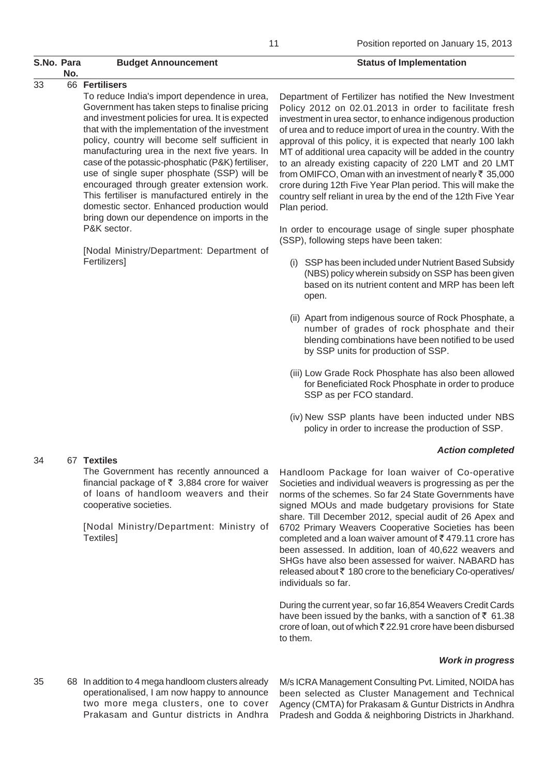## S.No. Para Budget Announcement **S.No. Para** Status of Implementation **No.**

## 33 66 **Fertilisers**

34 67 **Textiles**

To reduce India's import dependence in urea, Government has taken steps to finalise pricing and investment policies for urea. It is expected that with the implementation of the investment policy, country will become self sufficient in manufacturing urea in the next five years. In case of the potassic-phosphatic (P&K) fertiliser, use of single super phosphate (SSP) will be encouraged through greater extension work. This fertiliser is manufactured entirely in the domestic sector. Enhanced production would bring down our dependence on imports in the P&K sector.

[Nodal Ministry/Department: Department of Fertilizers]

The Government has recently announced a financial package of  $\bar{\tau}$  3,884 crore for waiver of loans of handloom weavers and their

[Nodal Ministry/Department: Ministry of

cooperative societies.

Textiles]

Department of Fertilizer has notified the New Investment Policy 2012 on 02.01.2013 in order to facilitate fresh investment in urea sector, to enhance indigenous production of urea and to reduce import of urea in the country. With the approval of this policy, it is expected that nearly 100 lakh MT of additional urea capacity will be added in the country to an already existing capacity of 220 LMT and 20 LMT from OMIFCO, Oman with an investment of nearly  $\bar{\tau}$  35,000 crore during 12th Five Year Plan period. This will make the country self reliant in urea by the end of the 12th Five Year Plan period.

In order to encourage usage of single super phosphate (SSP), following steps have been taken:

- (i) SSP has been included under Nutrient Based Subsidy (NBS) policy wherein subsidy on SSP has been given based on its nutrient content and MRP has been left open.
- (ii) Apart from indigenous source of Rock Phosphate, a number of grades of rock phosphate and their blending combinations have been notified to be used by SSP units for production of SSP.
- (iii) Low Grade Rock Phosphate has also been allowed for Beneficiated Rock Phosphate in order to produce SSP as per FCO standard.
- (iv) New SSP plants have been inducted under NBS policy in order to increase the production of SSP.

## *Action completed*

#### Handloom Package for loan waiver of Co-operative Societies and individual weavers is progressing as per the norms of the schemes. So far 24 State Governments have signed MOUs and made budgetary provisions for State share. Till December 2012, special audit of 26 Apex and 6702 Primary Weavers Cooperative Societies has been completed and a loan waiver amount of  $\bar{\tau}$  479.11 crore has been assessed. In addition, loan of 40,622 weavers and SHGs have also been assessed for waiver. NABARD has released about  $\bar{\tau}$  180 crore to the beneficiary Co-operatives/ individuals so far.

During the current year, so far 16,854 Weavers Credit Cards have been issued by the banks, with a sanction of  $\bar{z}$  61.38 crore of loan, out of which  $\bar{\tau}$  22.91 crore have been disbursed to them.

## *Work in progress*

35 68 In addition to 4 mega handloom clusters already operationalised, I am now happy to announce two more mega clusters, one to cover Prakasam and Guntur districts in Andhra M/s ICRA Management Consulting Pvt. Limited, NOIDA has been selected as Cluster Management and Technical Agency (CMTA) for Prakasam & Guntur Districts in Andhra Pradesh and Godda & neighboring Districts in Jharkhand.

#### 11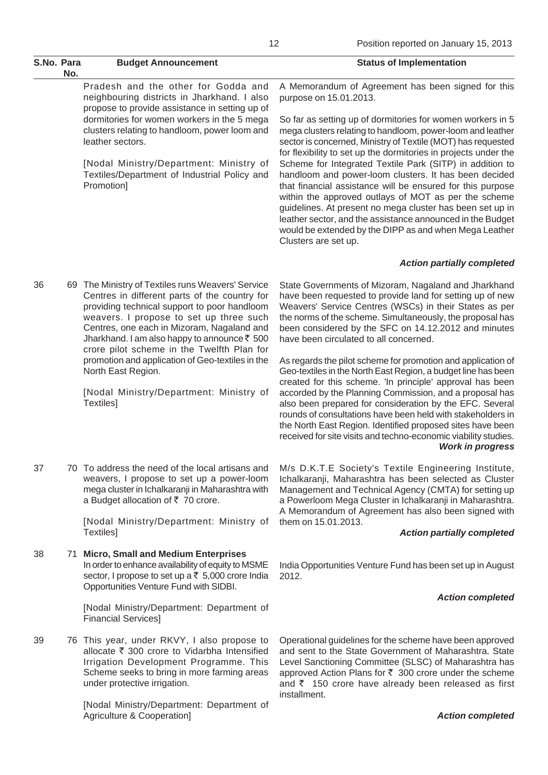| S.No. Para                                           | No.                                                                                                                                                                                                                                                                                                                                            | <b>Budget Announcement</b>                                                                                                                                                                                                                                                                                                                | <b>Status of Implementation</b>                                                                                                                                                                                                                                                                                                                                                                                                                      |
|------------------------------------------------------|------------------------------------------------------------------------------------------------------------------------------------------------------------------------------------------------------------------------------------------------------------------------------------------------------------------------------------------------|-------------------------------------------------------------------------------------------------------------------------------------------------------------------------------------------------------------------------------------------------------------------------------------------------------------------------------------------|------------------------------------------------------------------------------------------------------------------------------------------------------------------------------------------------------------------------------------------------------------------------------------------------------------------------------------------------------------------------------------------------------------------------------------------------------|
|                                                      |                                                                                                                                                                                                                                                                                                                                                | Pradesh and the other for Godda and<br>neighbouring districts in Jharkhand. I also<br>propose to provide assistance in setting up of                                                                                                                                                                                                      | A Memorandum of Agreement has been signed for this<br>purpose on 15.01.2013.                                                                                                                                                                                                                                                                                                                                                                         |
|                                                      | dormitories for women workers in the 5 mega<br>clusters relating to handloom, power loom and<br>leather sectors.                                                                                                                                                                                                                               | So far as setting up of dormitories for women workers in 5<br>mega clusters relating to handloom, power-loom and leather<br>sector is concerned, Ministry of Textile (MOT) has requested<br>for flexibility to set up the dormitories in projects under the                                                                               |                                                                                                                                                                                                                                                                                                                                                                                                                                                      |
|                                                      |                                                                                                                                                                                                                                                                                                                                                | [Nodal Ministry/Department: Ministry of<br>Textiles/Department of Industrial Policy and<br>Promotion]                                                                                                                                                                                                                                     | Scheme for Integrated Textile Park (SITP) in addition to<br>handloom and power-loom clusters. It has been decided<br>that financial assistance will be ensured for this purpose<br>within the approved outlays of MOT as per the scheme<br>guidelines. At present no mega cluster has been set up in<br>leather sector, and the assistance announced in the Budget<br>would be extended by the DIPP as and when Mega Leather<br>Clusters are set up. |
|                                                      |                                                                                                                                                                                                                                                                                                                                                |                                                                                                                                                                                                                                                                                                                                           | <b>Action partially completed</b>                                                                                                                                                                                                                                                                                                                                                                                                                    |
| 36                                                   |                                                                                                                                                                                                                                                                                                                                                | 69 The Ministry of Textiles runs Weavers' Service<br>Centres in different parts of the country for<br>providing technical support to poor handloom<br>weavers. I propose to set up three such<br>Centres, one each in Mizoram, Nagaland and<br>Jharkhand. I am also happy to announce ₹ 500<br>crore pilot scheme in the Twelfth Plan for | State Governments of Mizoram, Nagaland and Jharkhand<br>have been requested to provide land for setting up of new<br>Weavers' Service Centres (WSCs) in their States as per<br>the norms of the scheme. Simultaneously, the proposal has<br>been considered by the SFC on 14.12.2012 and minutes<br>have been circulated to all concerned.                                                                                                           |
|                                                      |                                                                                                                                                                                                                                                                                                                                                | promotion and application of Geo-textiles in the<br>North East Region.                                                                                                                                                                                                                                                                    | As regards the pilot scheme for promotion and application of<br>Geo-textiles in the North East Region, a budget line has been<br>created for this scheme. 'In principle' approval has been                                                                                                                                                                                                                                                           |
| [Nodal Ministry/Department: Ministry of<br>Textiles] | accorded by the Planning Commission, and a proposal has<br>also been prepared for consideration by the EFC. Several<br>rounds of consultations have been held with stakeholders in<br>the North East Region. Identified proposed sites have been<br>received for site visits and techno-economic viability studies.<br><b>Work in progress</b> |                                                                                                                                                                                                                                                                                                                                           |                                                                                                                                                                                                                                                                                                                                                                                                                                                      |
| 37                                                   |                                                                                                                                                                                                                                                                                                                                                | 70 To address the need of the local artisans and<br>weavers, I propose to set up a power-loom<br>mega cluster in Ichalkaranji in Maharashtra with<br>a Budget allocation of ₹ 70 crore.                                                                                                                                                   | M/s D.K.T.E Society's Textile Engineering Institute,<br>Ichalkaranji, Maharashtra has been selected as Cluster<br>Management and Technical Agency (CMTA) for setting up<br>a Powerloom Mega Cluster in Ichalkaranji in Maharashtra.<br>A Memorandum of Agreement has also been signed with                                                                                                                                                           |
|                                                      |                                                                                                                                                                                                                                                                                                                                                | [Nodal Ministry/Department: Ministry of<br>Textiles]                                                                                                                                                                                                                                                                                      | them on 15.01.2013.<br><b>Action partially completed</b>                                                                                                                                                                                                                                                                                                                                                                                             |
|                                                      |                                                                                                                                                                                                                                                                                                                                                |                                                                                                                                                                                                                                                                                                                                           |                                                                                                                                                                                                                                                                                                                                                                                                                                                      |
| 38                                                   |                                                                                                                                                                                                                                                                                                                                                | 71 Micro, Small and Medium Enterprises<br>In order to enhance availability of equity to MSME<br>sector, I propose to set up a ₹ 5,000 crore India<br>Opportunities Venture Fund with SIDBI.                                                                                                                                               | India Opportunities Venture Fund has been set up in August<br>2012.                                                                                                                                                                                                                                                                                                                                                                                  |
|                                                      |                                                                                                                                                                                                                                                                                                                                                |                                                                                                                                                                                                                                                                                                                                           | <b>Action completed</b>                                                                                                                                                                                                                                                                                                                                                                                                                              |

[Nodal Ministry/Department: Department of

allocate  $\bar{\tau}$  300 crore to Vidarbha Intensified Irrigation Development Programme. This Scheme seeks to bring in more farming areas

[Nodal Ministry/Department: Department of

39 76 This year, under RKVY, I also propose to

under protective irrigation.

Agriculture & Cooperation]

Financial Services]

Operational guidelines for the scheme have been approved and sent to the State Government of Maharashtra. State Level Sanctioning Committee (SLSC) of Maharashtra has approved Action Plans for  $\bar{\tau}$  300 crore under the scheme and  $\bar{\tau}$  150 crore have already been released as first installment.

*Action completed*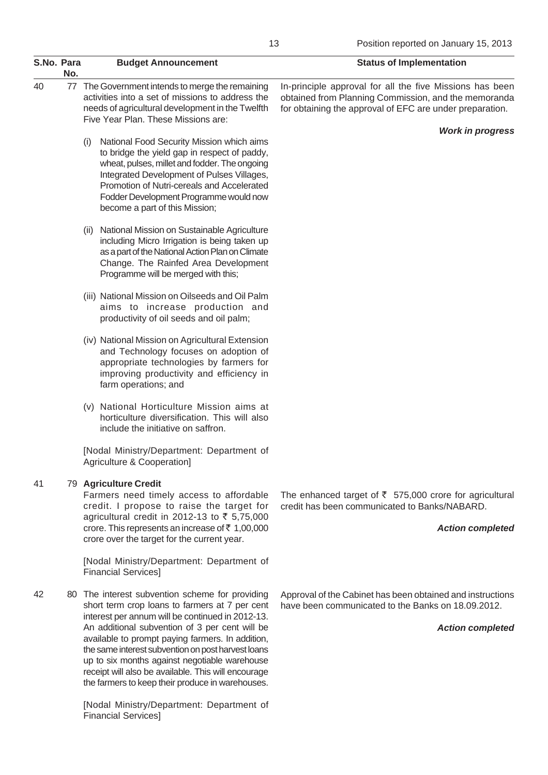| S.No. Para |     | <b>Budget Announcement</b>                                                                                                                                                                                                                                                                                                                                                                                                                                                 | <b>Status of Implementation</b>                                                                                                                                              |
|------------|-----|----------------------------------------------------------------------------------------------------------------------------------------------------------------------------------------------------------------------------------------------------------------------------------------------------------------------------------------------------------------------------------------------------------------------------------------------------------------------------|------------------------------------------------------------------------------------------------------------------------------------------------------------------------------|
| 40         | No. | 77 The Government intends to merge the remaining<br>activities into a set of missions to address the<br>needs of agricultural development in the Twelfth<br>Five Year Plan. These Missions are:                                                                                                                                                                                                                                                                            | In-principle approval for all the five Missions has been<br>obtained from Planning Commission, and the memoranda<br>for obtaining the approval of EFC are under preparation. |
|            |     | National Food Security Mission which aims<br>(i)<br>to bridge the yield gap in respect of paddy,<br>wheat, pulses, millet and fodder. The ongoing<br>Integrated Development of Pulses Villages,<br>Promotion of Nutri-cereals and Accelerated<br>Fodder Development Programme would now<br>become a part of this Mission;                                                                                                                                                  | <b>Work in progress</b>                                                                                                                                                      |
|            |     | National Mission on Sustainable Agriculture<br>(11)<br>including Micro Irrigation is being taken up<br>as a part of the National Action Plan on Climate<br>Change. The Rainfed Area Development<br>Programme will be merged with this;                                                                                                                                                                                                                                     |                                                                                                                                                                              |
|            |     | (iii) National Mission on Oilseeds and Oil Palm<br>aims to increase production and<br>productivity of oil seeds and oil palm;                                                                                                                                                                                                                                                                                                                                              |                                                                                                                                                                              |
|            |     | (iv) National Mission on Agricultural Extension<br>and Technology focuses on adoption of<br>appropriate technologies by farmers for<br>improving productivity and efficiency in<br>farm operations; and                                                                                                                                                                                                                                                                    |                                                                                                                                                                              |
|            |     | (v) National Horticulture Mission aims at<br>horticulture diversification. This will also<br>include the initiative on saffron.                                                                                                                                                                                                                                                                                                                                            |                                                                                                                                                                              |
|            |     | [Nodal Ministry/Department: Department of<br>Agriculture & Cooperation]                                                                                                                                                                                                                                                                                                                                                                                                    |                                                                                                                                                                              |
| 41         |     | 79 Agriculture Credit<br>Farmers need timely access to affordable<br>credit. I propose to raise the target for<br>agricultural credit in 2012-13 to ₹ 5,75,000<br>crore. This represents an increase of $\overline{\xi}$ 1,00,000<br>crore over the target for the current year.                                                                                                                                                                                           | The enhanced target of $\bar{\tau}$ 575,000 crore for agricultural<br>credit has been communicated to Banks/NABARD.<br><b>Action completed</b>                               |
|            |     | [Nodal Ministry/Department: Department of<br><b>Financial Services]</b>                                                                                                                                                                                                                                                                                                                                                                                                    |                                                                                                                                                                              |
| 42         | 80  | The interest subvention scheme for providing<br>short term crop loans to farmers at 7 per cent<br>interest per annum will be continued in 2012-13.<br>An additional subvention of 3 per cent will be<br>available to prompt paying farmers. In addition,<br>the same interest subvention on post harvest loans<br>up to six months against negotiable warehouse<br>receipt will also be available. This will encourage<br>the farmers to keep their produce in warehouses. | Approval of the Cabinet has been obtained and instructions<br>have been communicated to the Banks on 18.09.2012.<br><b>Action completed</b>                                  |

[Nodal Ministry/Department: Department of Financial Services]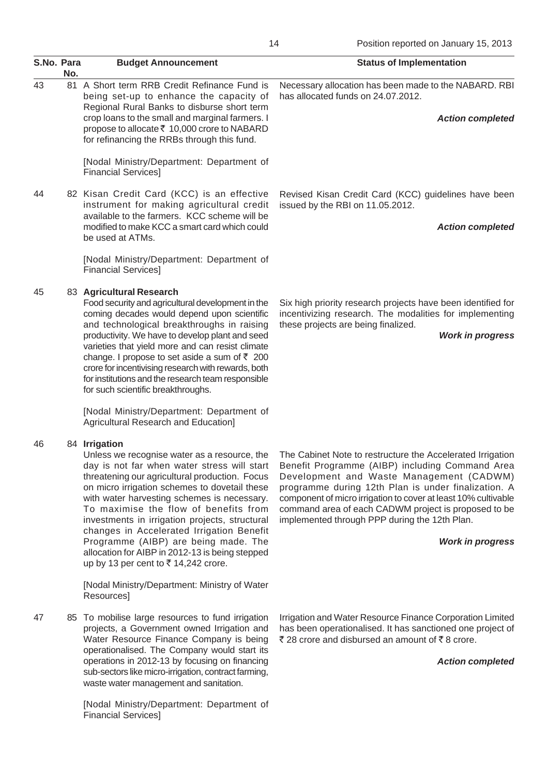| S.No. Para | No. | <b>Budget Announcement</b>                                                                                                                                                                                                                                                                                                                                                                                                                                                                                                               | <b>Status of Implementation</b>                                                                                                                                                                                                                                                                                                                                                                                        |
|------------|-----|------------------------------------------------------------------------------------------------------------------------------------------------------------------------------------------------------------------------------------------------------------------------------------------------------------------------------------------------------------------------------------------------------------------------------------------------------------------------------------------------------------------------------------------|------------------------------------------------------------------------------------------------------------------------------------------------------------------------------------------------------------------------------------------------------------------------------------------------------------------------------------------------------------------------------------------------------------------------|
| 43         |     | 81 A Short term RRB Credit Refinance Fund is<br>being set-up to enhance the capacity of<br>Regional Rural Banks to disburse short term<br>crop loans to the small and marginal farmers. I<br>propose to allocate ₹ 10,000 crore to NABARD<br>for refinancing the RRBs through this fund.                                                                                                                                                                                                                                                 | Necessary allocation has been made to the NABARD. RBI<br>has allocated funds on 24.07.2012.<br><b>Action completed</b>                                                                                                                                                                                                                                                                                                 |
|            |     | [Nodal Ministry/Department: Department of<br><b>Financial Services]</b>                                                                                                                                                                                                                                                                                                                                                                                                                                                                  |                                                                                                                                                                                                                                                                                                                                                                                                                        |
| 44         |     | 82 Kisan Credit Card (KCC) is an effective<br>instrument for making agricultural credit<br>available to the farmers. KCC scheme will be<br>modified to make KCC a smart card which could<br>be used at ATMs.                                                                                                                                                                                                                                                                                                                             | Revised Kisan Credit Card (KCC) guidelines have been<br>issued by the RBI on 11.05.2012.<br><b>Action completed</b>                                                                                                                                                                                                                                                                                                    |
|            |     | [Nodal Ministry/Department: Department of<br><b>Financial Services]</b>                                                                                                                                                                                                                                                                                                                                                                                                                                                                  |                                                                                                                                                                                                                                                                                                                                                                                                                        |
| 45         |     | 83 Agricultural Research<br>Food security and agricultural development in the<br>coming decades would depend upon scientific<br>and technological breakthroughs in raising<br>productivity. We have to develop plant and seed<br>varieties that yield more and can resist climate<br>change. I propose to set aside a sum of $\overline{z}$ 200<br>crore for incentivising research with rewards, both<br>for institutions and the research team responsible<br>for such scientific breakthroughs.                                       | Six high priority research projects have been identified for<br>incentivizing research. The modalities for implementing<br>these projects are being finalized.<br><b>Work in progress</b>                                                                                                                                                                                                                              |
|            |     | [Nodal Ministry/Department: Department of<br>Agricultural Research and Education]                                                                                                                                                                                                                                                                                                                                                                                                                                                        |                                                                                                                                                                                                                                                                                                                                                                                                                        |
| 46         |     | 84 Irrigation<br>Unless we recognise water as a resource, the<br>day is not far when water stress will start<br>threatening our agricultural production. Focus<br>on micro irrigation schemes to dovetail these<br>with water harvesting schemes is necessary.<br>To maximise the flow of benefits from<br>investments in irrigation projects, structural<br>changes in Accelerated Irrigation Benefit<br>Programme (AIBP) are being made. The<br>allocation for AIBP in 2012-13 is being stepped<br>up by 13 per cent to ₹14,242 crore. | The Cabinet Note to restructure the Accelerated Irrigation<br>Benefit Programme (AIBP) including Command Area<br>Development and Waste Management (CADWM)<br>programme during 12th Plan is under finalization. A<br>component of micro irrigation to cover at least 10% cultivable<br>command area of each CADWM project is proposed to be<br>implemented through PPP during the 12th Plan.<br><b>Work in progress</b> |
|            |     | [Nodal Ministry/Department: Ministry of Water<br>Resources]                                                                                                                                                                                                                                                                                                                                                                                                                                                                              |                                                                                                                                                                                                                                                                                                                                                                                                                        |
| 47         |     | 85 To mobilise large resources to fund irrigation<br>projects, a Government owned Irrigation and<br>Water Resource Finance Company is being<br>operationalised. The Company would start its<br>operations in 2012-13 by focusing on financing<br>sub-sectors like micro-irrigation, contract farming,<br>waste water management and sanitation.                                                                                                                                                                                          | Irrigation and Water Resource Finance Corporation Limited<br>has been operationalised. It has sanctioned one project of<br>₹ 28 crore and disbursed an amount of ₹8 crore.<br><b>Action completed</b>                                                                                                                                                                                                                  |
|            |     | [Nodal Ministry/Department: Department of<br><b>Financial Services]</b>                                                                                                                                                                                                                                                                                                                                                                                                                                                                  |                                                                                                                                                                                                                                                                                                                                                                                                                        |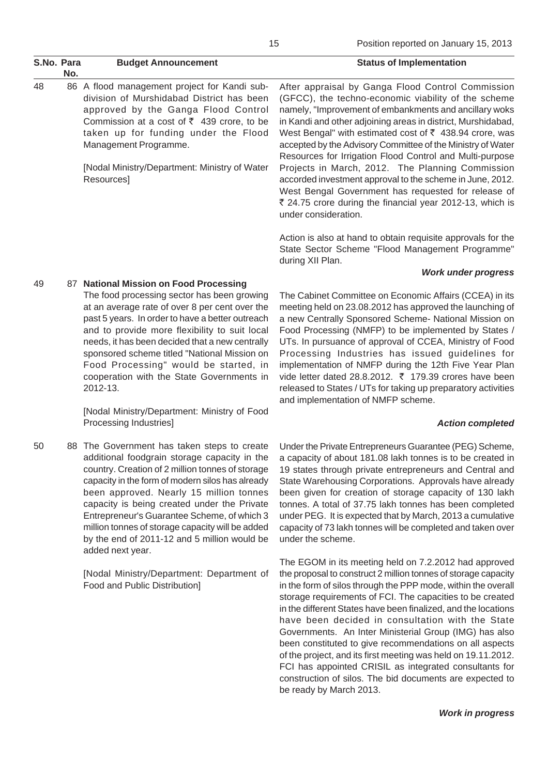| S.No. Para | No. | <b>Budget Announcement</b>                                                                                                                                                                                                                                   | <b>Status of Implementation</b>                                                                                                                                                                                                                                                                                                                                                                                                     |
|------------|-----|--------------------------------------------------------------------------------------------------------------------------------------------------------------------------------------------------------------------------------------------------------------|-------------------------------------------------------------------------------------------------------------------------------------------------------------------------------------------------------------------------------------------------------------------------------------------------------------------------------------------------------------------------------------------------------------------------------------|
| 48         |     | 86 A flood management project for Kandi sub-<br>division of Murshidabad District has been<br>approved by the Ganga Flood Control<br>Commission at a cost of $\overline{z}$ 439 crore, to be<br>taken up for funding under the Flood<br>Management Programme. | After appraisal by Ganga Flood Control Commission<br>(GFCC), the techno-economic viability of the scheme<br>namely, "Improvement of embankments and ancillary woks<br>in Kandi and other adjoining areas in district, Murshidabad,<br>West Bengal" with estimated cost of $\bar{\tau}$ 438.94 crore, was<br>accepted by the Advisory Committee of the Ministry of Water<br>Resources for Irrigation Flood Control and Multi-purpose |
|            |     | [Nodal Ministry/Department: Ministry of Water<br>Resources]                                                                                                                                                                                                  | Projects in March, 2012. The Planning Commission<br>accorded investment approval to the scheme in June, 2012.<br>West Bengal Government has requested for release of<br>₹ 24.75 crore during the financial year 2012-13, which is<br>under consideration.                                                                                                                                                                           |
|            |     |                                                                                                                                                                                                                                                              | Action is also at hand to obtain requisite approvals for the<br>State Sector Scheme "Flood Management Programme"<br>during XII Plan.                                                                                                                                                                                                                                                                                                |

#### *Work under progress*

## 49 87 **National Mission on Food Processing**

The food processing sector has been growing at an average rate of over 8 per cent over the past 5 years. In order to have a better outreach and to provide more flexibility to suit local needs, it has been decided that a new centrally sponsored scheme titled "National Mission on Food Processing" would be started, in cooperation with the State Governments in 2012-13.

[Nodal Ministry/Department: Ministry of Food Processing Industries]

50 88 The Government has taken steps to create additional foodgrain storage capacity in the country. Creation of 2 million tonnes of storage capacity in the form of modern silos has already been approved. Nearly 15 million tonnes capacity is being created under the Private Entrepreneur's Guarantee Scheme, of which 3 million tonnes of storage capacity will be added by the end of 2011-12 and 5 million would be added next year.

> [Nodal Ministry/Department: Department of Food and Public Distribution]

The Cabinet Committee on Economic Affairs (CCEA) in its meeting held on 23.08.2012 has approved the launching of a new Centrally Sponsored Scheme- National Mission on Food Processing (NMFP) to be implemented by States / UTs. In pursuance of approval of CCEA, Ministry of Food Processing Industries has issued guidelines for implementation of NMFP during the 12th Five Year Plan vide letter dated 28.8.2012.  $\bar{\tau}$  179.39 crores have been released to States / UTs for taking up preparatory activities and implementation of NMFP scheme.

#### *Action completed*

Under the Private Entrepreneurs Guarantee (PEG) Scheme, a capacity of about 181.08 lakh tonnes is to be created in 19 states through private entrepreneurs and Central and State Warehousing Corporations. Approvals have already been given for creation of storage capacity of 130 lakh tonnes. A total of 37.75 lakh tonnes has been completed under PEG. It is expected that by March, 2013 a cumulative capacity of 73 lakh tonnes will be completed and taken over under the scheme.

The EGOM in its meeting held on 7.2.2012 had approved the proposal to construct 2 million tonnes of storage capacity in the form of silos through the PPP mode, within the overall storage requirements of FCI. The capacities to be created in the different States have been finalized, and the locations have been decided in consultation with the State Governments. An Inter Ministerial Group (IMG) has also been constituted to give recommendations on all aspects of the project, and its first meeting was held on 19.11.2012. FCI has appointed CRISIL as integrated consultants for construction of silos. The bid documents are expected to be ready by March 2013.

*Work in progress*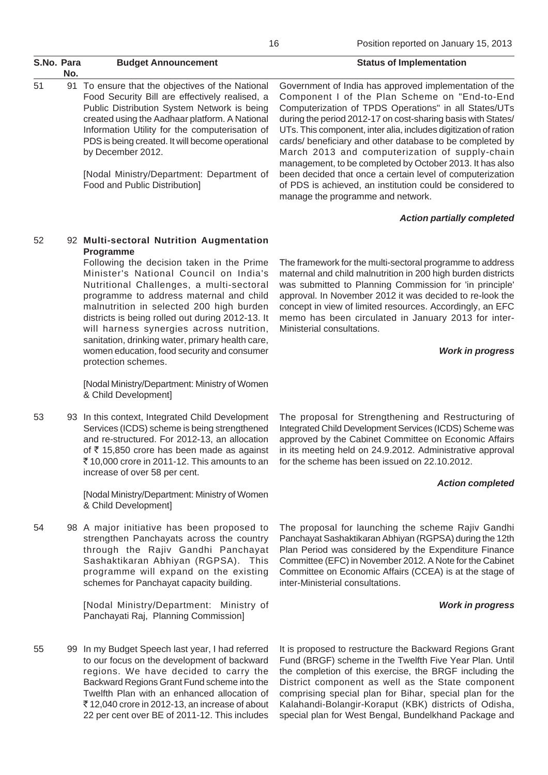| S.No. Para | No. | <b>Budget Announcement</b>                                                                                                                                                                                                                                                                                                     | <b>Status of Implementation</b>                                                                                                                                                                                                                                                                                                                                                                                                                                                |
|------------|-----|--------------------------------------------------------------------------------------------------------------------------------------------------------------------------------------------------------------------------------------------------------------------------------------------------------------------------------|--------------------------------------------------------------------------------------------------------------------------------------------------------------------------------------------------------------------------------------------------------------------------------------------------------------------------------------------------------------------------------------------------------------------------------------------------------------------------------|
| 51         |     | 91 To ensure that the objectives of the National<br>Food Security Bill are effectively realised, a<br>Public Distribution System Network is being<br>created using the Aadhaar platform. A National<br>Information Utility for the computerisation of<br>PDS is being created. It will become operational<br>by December 2012. | Government of India has approved implementation of the<br>Component I of the Plan Scheme on "End-to-End<br>Computerization of TPDS Operations" in all States/UTs<br>during the period 2012-17 on cost-sharing basis with States/<br>UTs. This component, inter alia, includes digitization of ration<br>cards/ beneficiary and other database to be completed by<br>March 2013 and computerization of supply-chain<br>management, to be completed by October 2013. It has also |
|            |     | [Nodal Ministry/Department: Department of<br>Food and Public Distribution]                                                                                                                                                                                                                                                     | been decided that once a certain level of computerization<br>of PDS is achieved, an institution could be considered to                                                                                                                                                                                                                                                                                                                                                         |

#### *Action partially completed*

### 52 92 **Multi-sectoral Nutrition Augmentation Programme**

Following the decision taken in the Prime Minister's National Council on India's Nutritional Challenges, a multi-sectoral programme to address maternal and child malnutrition in selected 200 high burden districts is being rolled out during 2012-13. It will harness synergies across nutrition, sanitation, drinking water, primary health care, women education, food security and consumer protection schemes.

[Nodal Ministry/Department: Ministry of Women & Child Development]

53 93 In this context, Integrated Child Development Services (ICDS) scheme is being strengthened and re-structured. For 2012-13, an allocation of  $\bar{\tau}$  15,850 crore has been made as against  $\bar{\tau}$  10,000 crore in 2011-12. This amounts to an increase of over 58 per cent.

> [Nodal Ministry/Department: Ministry of Women & Child Development]

54 98 A major initiative has been proposed to strengthen Panchayats across the country through the Rajiv Gandhi Panchayat Sashaktikaran Abhiyan (RGPSA). This programme will expand on the existing schemes for Panchayat capacity building.

> [Nodal Ministry/Department: Ministry of Panchayati Raj, Planning Commission]

55 99 In my Budget Speech last year, I had referred to our focus on the development of backward regions. We have decided to carry the Backward Regions Grant Fund scheme into the Twelfth Plan with an enhanced allocation of  $\overline{5}$  12,040 crore in 2012-13, an increase of about 22 per cent over BE of 2011-12. This includes The framework for the multi-sectoral programme to address maternal and child malnutrition in 200 high burden districts was submitted to Planning Commission for 'in principle' approval. In November 2012 it was decided to re-look the concept in view of limited resources. Accordingly, an EFC memo has been circulated in January 2013 for inter-Ministerial consultations.

manage the programme and network.

#### *Work in progress*

The proposal for Strengthening and Restructuring of Integrated Child Development Services (ICDS) Scheme was approved by the Cabinet Committee on Economic Affairs in its meeting held on 24.9.2012. Administrative approval for the scheme has been issued on 22.10.2012.

#### *Action completed*

The proposal for launching the scheme Rajiv Gandhi Panchayat Sashaktikaran Abhiyan (RGPSA) during the 12th Plan Period was considered by the Expenditure Finance Committee (EFC) in November 2012. A Note for the Cabinet Committee on Economic Affairs (CCEA) is at the stage of inter-Ministerial consultations.

#### *Work in progress*

It is proposed to restructure the Backward Regions Grant Fund (BRGF) scheme in the Twelfth Five Year Plan. Until the completion of this exercise, the BRGF including the District component as well as the State component comprising special plan for Bihar, special plan for the Kalahandi-Bolangir-Koraput (KBK) districts of Odisha, special plan for West Bengal, Bundelkhand Package and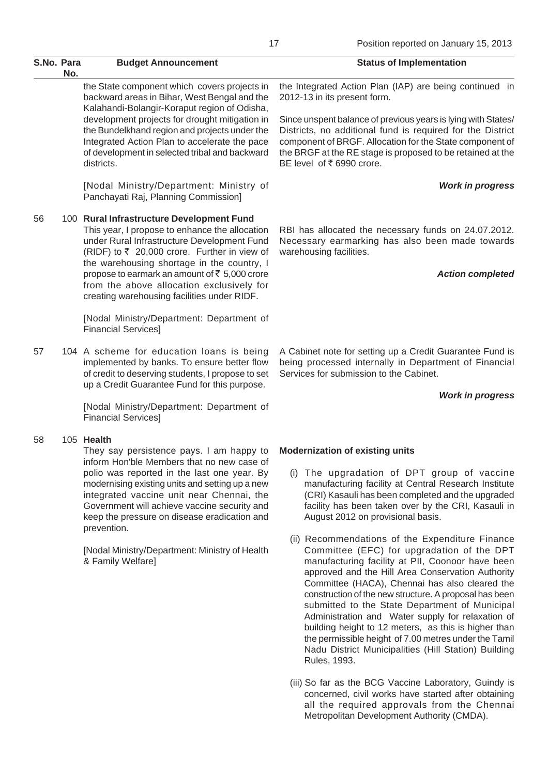|            |     |                                                                                                                                                                                                                                                                                                                                                                                                                                           | 17<br>Position reported on January 15, 2013                                                                                                                                                                                                                                                                                                                                                                                                                                                                                                                                                                                                                                                                                                                                                                                                                                                                             |
|------------|-----|-------------------------------------------------------------------------------------------------------------------------------------------------------------------------------------------------------------------------------------------------------------------------------------------------------------------------------------------------------------------------------------------------------------------------------------------|-------------------------------------------------------------------------------------------------------------------------------------------------------------------------------------------------------------------------------------------------------------------------------------------------------------------------------------------------------------------------------------------------------------------------------------------------------------------------------------------------------------------------------------------------------------------------------------------------------------------------------------------------------------------------------------------------------------------------------------------------------------------------------------------------------------------------------------------------------------------------------------------------------------------------|
| S.No. Para | No. | <b>Budget Announcement</b>                                                                                                                                                                                                                                                                                                                                                                                                                | <b>Status of Implementation</b>                                                                                                                                                                                                                                                                                                                                                                                                                                                                                                                                                                                                                                                                                                                                                                                                                                                                                         |
|            |     | the State component which covers projects in<br>backward areas in Bihar, West Bengal and the<br>Kalahandi-Bolangir-Koraput region of Odisha,                                                                                                                                                                                                                                                                                              | the Integrated Action Plan (IAP) are being continued in<br>2012-13 in its present form.                                                                                                                                                                                                                                                                                                                                                                                                                                                                                                                                                                                                                                                                                                                                                                                                                                 |
|            |     | development projects for drought mitigation in<br>the Bundelkhand region and projects under the<br>Integrated Action Plan to accelerate the pace<br>of development in selected tribal and backward<br>districts.                                                                                                                                                                                                                          | Since unspent balance of previous years is lying with States/<br>Districts, no additional fund is required for the District<br>component of BRGF. Allocation for the State component of<br>the BRGF at the RE stage is proposed to be retained at the<br>BE level of ₹6990 crore.                                                                                                                                                                                                                                                                                                                                                                                                                                                                                                                                                                                                                                       |
|            |     | [Nodal Ministry/Department: Ministry of<br>Panchayati Raj, Planning Commission]                                                                                                                                                                                                                                                                                                                                                           | <b>Work in progress</b>                                                                                                                                                                                                                                                                                                                                                                                                                                                                                                                                                                                                                                                                                                                                                                                                                                                                                                 |
| 56         |     | 100 Rural Infrastructure Development Fund<br>This year, I propose to enhance the allocation<br>under Rural Infrastructure Development Fund<br>(RIDF) to ₹ 20,000 crore. Further in view of<br>the warehousing shortage in the country, I                                                                                                                                                                                                  | RBI has allocated the necessary funds on 24.07.2012.<br>Necessary earmarking has also been made towards<br>warehousing facilities.                                                                                                                                                                                                                                                                                                                                                                                                                                                                                                                                                                                                                                                                                                                                                                                      |
|            |     | propose to earmark an amount of ₹ 5,000 crore<br>from the above allocation exclusively for<br>creating warehousing facilities under RIDF.                                                                                                                                                                                                                                                                                                 | <b>Action completed</b>                                                                                                                                                                                                                                                                                                                                                                                                                                                                                                                                                                                                                                                                                                                                                                                                                                                                                                 |
|            |     | [Nodal Ministry/Department: Department of<br><b>Financial Services]</b>                                                                                                                                                                                                                                                                                                                                                                   |                                                                                                                                                                                                                                                                                                                                                                                                                                                                                                                                                                                                                                                                                                                                                                                                                                                                                                                         |
| 57         |     | 104 A scheme for education loans is being<br>implemented by banks. To ensure better flow<br>of credit to deserving students, I propose to set<br>up a Credit Guarantee Fund for this purpose.                                                                                                                                                                                                                                             | A Cabinet note for setting up a Credit Guarantee Fund is<br>being processed internally in Department of Financial<br>Services for submission to the Cabinet.                                                                                                                                                                                                                                                                                                                                                                                                                                                                                                                                                                                                                                                                                                                                                            |
|            |     | [Nodal Ministry/Department: Department of<br><b>Financial Services]</b>                                                                                                                                                                                                                                                                                                                                                                   | <b>Work in progress</b>                                                                                                                                                                                                                                                                                                                                                                                                                                                                                                                                                                                                                                                                                                                                                                                                                                                                                                 |
| 58         |     | 105 Health<br>They say persistence pays. I am happy to<br>inform Hon'ble Members that no new case of<br>polio was reported in the last one year. By<br>modernising existing units and setting up a new<br>integrated vaccine unit near Chennai, the<br>Government will achieve vaccine security and<br>keep the pressure on disease eradication and<br>prevention.<br>[Nodal Ministry/Department: Ministry of Health<br>& Family Welfare] | <b>Modernization of existing units</b><br>The upgradation of DPT group of vaccine<br>(1)<br>manufacturing facility at Central Research Institute<br>(CRI) Kasauli has been completed and the upgraded<br>facility has been taken over by the CRI, Kasauli in<br>August 2012 on provisional basis.<br>(ii) Recommendations of the Expenditure Finance<br>Committee (EFC) for upgradation of the DPT<br>manufacturing facility at PII, Coonoor have been<br>approved and the Hill Area Conservation Authority<br>Committee (HACA), Chennai has also cleared the<br>construction of the new structure. A proposal has been<br>submitted to the State Department of Municipal<br>Administration and Water supply for relaxation of<br>building height to 12 meters, as this is higher than<br>the permissible height of 7.00 metres under the Tamil<br>Nadu District Municipalities (Hill Station) Building<br>Rules, 1993. |

(iii) So far as the BCG Vaccine Laboratory, Guindy is concerned, civil works have started after obtaining all the required approvals from the Chennai Metropolitan Development Authority (CMDA).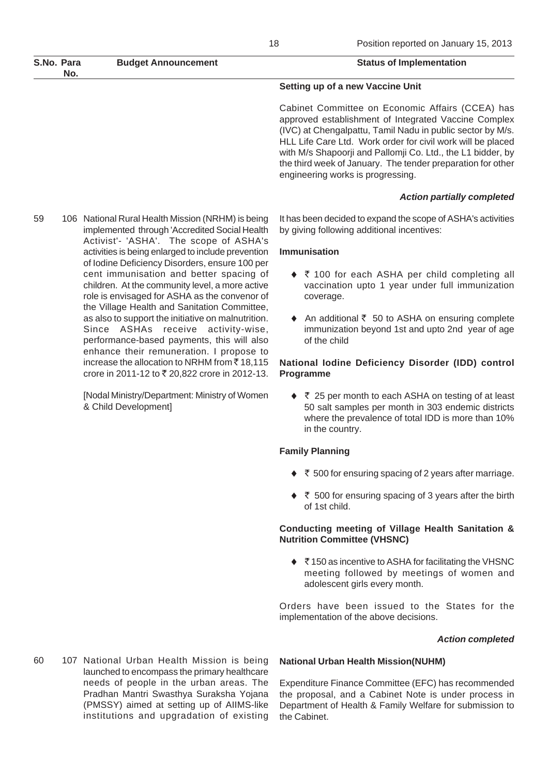| S.No. Para<br>No. | <b>Budget Announcement</b> | <b>Status of Implementation</b>  |
|-------------------|----------------------------|----------------------------------|
|                   |                            | Setting up of a new Vaccine Unit |

Cabinet Committee on Economic Affairs (CCEA) has approved establishment of Integrated Vaccine Complex (IVC) at Chengalpattu, Tamil Nadu in public sector by M/s. HLL Life Care Ltd. Work order for civil work will be placed with M/s Shapoorji and Pallomji Co. Ltd., the L1 bidder, by the third week of January. The tender preparation for other engineering works is progressing.

#### *Action partially completed*

59 106 National Rural Health Mission (NRHM) is being implemented through 'Accredited Social Health Activist'- 'ASHA'. The scope of ASHA's activities is being enlarged to include prevention of Iodine Deficiency Disorders, ensure 100 per cent immunisation and better spacing of children. At the community level, a more active role is envisaged for ASHA as the convenor of the Village Health and Sanitation Committee, as also to support the initiative on malnutrition. Since ASHAs receive activity-wise, performance-based payments, this will also enhance their remuneration. I propose to increase the allocation to NRHM from  $\bar{c}$  18,115 crore in 2011-12 to ₹ 20,822 crore in 2012-13.

> [Nodal Ministry/Department: Ministry of Women & Child Development]

It has been decided to expand the scope of ASHA's activities by giving following additional incentives:

### **Immunisation**

- ◆ ₹ 100 for each ASHA per child completing all vaccination upto 1 year under full immunization coverage.
- $\triangle$  An additional  $\overline{\zeta}$  50 to ASHA on ensuring complete immunization beyond 1st and upto 2nd year of age of the child

## **National Iodine Deficiency Disorder (IDD) control Programme**

◆ ₹ 25 per month to each ASHA on testing of at least 50 salt samples per month in 303 endemic districts where the prevalence of total IDD is more than 10% in the country.

## **Family Planning**

- $\blacklozenge$   $\bar{\tau}$  500 for ensuring spacing of 2 years after marriage.
- $\blacklozenge$   $\bar{\tau}$  500 for ensuring spacing of 3 years after the birth of 1st child.

### **Conducting meeting of Village Health Sanitation & Nutrition Committee (VHSNC)**

◆ ₹150 as incentive to ASHA for facilitating the VHSNC meeting followed by meetings of women and adolescent girls every month.

Orders have been issued to the States for the implementation of the above decisions.

#### *Action completed*

60 107 National Urban Health Mission is being launched to encompass the primary healthcare needs of people in the urban areas. The Pradhan Mantri Swasthya Suraksha Yojana (PMSSY) aimed at setting up of AIIMS-like institutions and upgradation of existing

#### **National Urban Health Mission(NUHM)**

Expenditure Finance Committee (EFC) has recommended the proposal, and a Cabinet Note is under process in Department of Health & Family Welfare for submission to the Cabinet.

18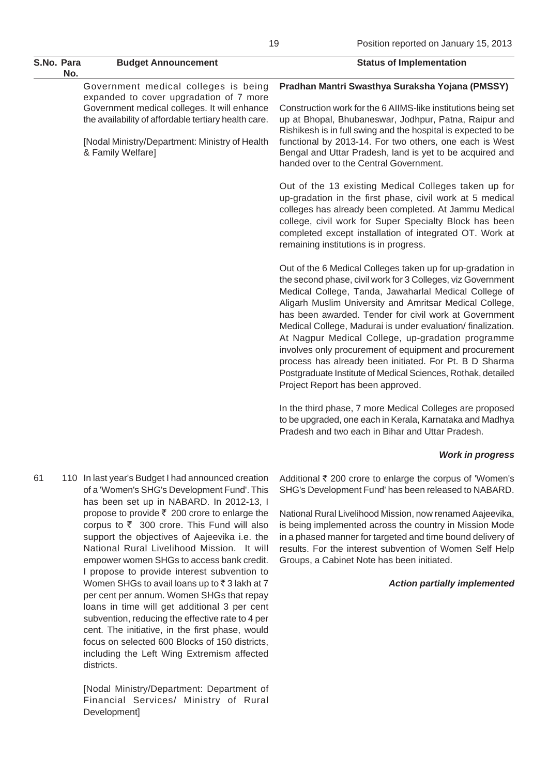|    | S.No. Para<br>No. | <b>Budget Announcement</b>                                                                                                                                                                                                                                     | <b>Status of Implementation</b>                                                                                                                                                                                                                                                                                                                                                                                                                                                                                                                                                                                                                    |
|----|-------------------|----------------------------------------------------------------------------------------------------------------------------------------------------------------------------------------------------------------------------------------------------------------|----------------------------------------------------------------------------------------------------------------------------------------------------------------------------------------------------------------------------------------------------------------------------------------------------------------------------------------------------------------------------------------------------------------------------------------------------------------------------------------------------------------------------------------------------------------------------------------------------------------------------------------------------|
|    |                   | Government medical colleges is being<br>expanded to cover upgradation of 7 more<br>Government medical colleges. It will enhance<br>the availability of affordable tertiary health care.<br>[Nodal Ministry/Department: Ministry of Health<br>& Family Welfare] | Pradhan Mantri Swasthya Suraksha Yojana (PMSSY)<br>Construction work for the 6 AIIMS-like institutions being set<br>up at Bhopal, Bhubaneswar, Jodhpur, Patna, Raipur and<br>Rishikesh is in full swing and the hospital is expected to be<br>functional by 2013-14. For two others, one each is West<br>Bengal and Uttar Pradesh, land is yet to be acquired and<br>handed over to the Central Government.                                                                                                                                                                                                                                        |
|    |                   |                                                                                                                                                                                                                                                                | Out of the 13 existing Medical Colleges taken up for<br>up-gradation in the first phase, civil work at 5 medical<br>colleges has already been completed. At Jammu Medical<br>college, civil work for Super Specialty Block has been<br>completed except installation of integrated OT. Work at<br>remaining institutions is in progress.                                                                                                                                                                                                                                                                                                           |
|    |                   |                                                                                                                                                                                                                                                                | Out of the 6 Medical Colleges taken up for up-gradation in<br>the second phase, civil work for 3 Colleges, viz Government<br>Medical College, Tanda, Jawaharlal Medical College of<br>Aligarh Muslim University and Amritsar Medical College,<br>has been awarded. Tender for civil work at Government<br>Medical College, Madurai is under evaluation/finalization.<br>At Nagpur Medical College, up-gradation programme<br>involves only procurement of equipment and procurement<br>process has already been initiated. For Pt. B D Sharma<br>Postgraduate Institute of Medical Sciences, Rothak, detailed<br>Project Report has been approved. |
|    |                   |                                                                                                                                                                                                                                                                | In the third phase, 7 more Medical Colleges are proposed<br>to be upgraded, one each in Kerala, Karnataka and Madhya<br>Pradesh and two each in Bihar and Uttar Pradesh.                                                                                                                                                                                                                                                                                                                                                                                                                                                                           |
|    |                   |                                                                                                                                                                                                                                                                | <b>Work in progress</b>                                                                                                                                                                                                                                                                                                                                                                                                                                                                                                                                                                                                                            |
| 61 |                   | 110 In last year's Budget I had announced creation                                                                                                                                                                                                             | Additional ₹ 200 crore to enlarge the corpus of 'Women's                                                                                                                                                                                                                                                                                                                                                                                                                                                                                                                                                                                           |

of a 'Women's SHG's Development Fund'. This has been set up in NABARD. In 2012-13, I propose to provide  $\bar{\tau}$  200 crore to enlarge the corpus to  $\bar{\tau}$  300 crore. This Fund will also support the objectives of Aajeevika i.e. the National Rural Livelihood Mission. It will empower women SHGs to access bank credit. I propose to provide interest subvention to Women SHGs to avail loans up to  $\bar{z}$  3 lakh at 7 per cent per annum. Women SHGs that repay loans in time will get additional 3 per cent subvention, reducing the effective rate to 4 per cent. The initiative, in the first phase, would focus on selected 600 Blocks of 150 districts, including the Left Wing Extremism affected districts.

> [Nodal Ministry/Department: Department of Financial Services/ Ministry of Rural Development]

SHG's Development Fund' has been released to NABARD.

National Rural Livelihood Mission, now renamed Aajeevika, is being implemented across the country in Mission Mode in a phased manner for targeted and time bound delivery of results. For the interest subvention of Women Self Help Groups, a Cabinet Note has been initiated.

#### *Action partially implemented*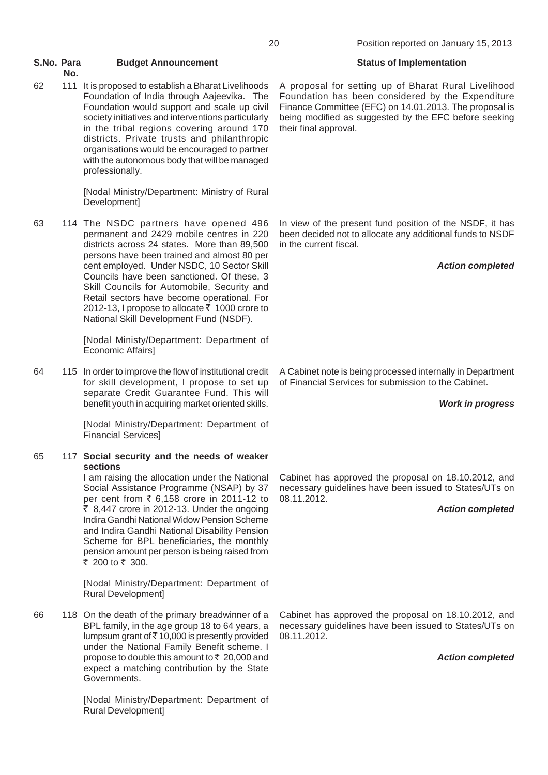| S.No. Para | No. | <b>Budget Announcement</b>                                                                                                                                                                                                                                                                                                                                                                                                                                              | <b>Status of Implementation</b>                                                                                                                                                                                                                       |
|------------|-----|-------------------------------------------------------------------------------------------------------------------------------------------------------------------------------------------------------------------------------------------------------------------------------------------------------------------------------------------------------------------------------------------------------------------------------------------------------------------------|-------------------------------------------------------------------------------------------------------------------------------------------------------------------------------------------------------------------------------------------------------|
| 62         | 111 | It is proposed to establish a Bharat Livelihoods<br>Foundation of India through Aajeevika. The<br>Foundation would support and scale up civil<br>society initiatives and interventions particularly<br>in the tribal regions covering around 170<br>districts. Private trusts and philanthropic<br>organisations would be encouraged to partner<br>with the autonomous body that will be managed<br>professionally.                                                     | A proposal for setting up of Bharat Rural Livelihood<br>Foundation has been considered by the Expenditure<br>Finance Committee (EFC) on 14.01.2013. The proposal is<br>being modified as suggested by the EFC before seeking<br>their final approval. |
|            |     | [Nodal Ministry/Department: Ministry of Rural<br>Development]                                                                                                                                                                                                                                                                                                                                                                                                           |                                                                                                                                                                                                                                                       |
| 63         |     | 114 The NSDC partners have opened 496<br>permanent and 2429 mobile centres in 220<br>districts across 24 states. More than 89,500<br>persons have been trained and almost 80 per<br>cent employed. Under NSDC, 10 Sector Skill<br>Councils have been sanctioned. Of these, 3<br>Skill Councils for Automobile, Security and<br>Retail sectors have become operational. For<br>2012-13, I propose to allocate ₹ 1000 crore to<br>National Skill Development Fund (NSDF). | In view of the present fund position of the NSDF, it has<br>been decided not to allocate any additional funds to NSDF<br>in the current fiscal.<br><b>Action completed</b>                                                                            |
|            |     | [Nodal Ministy/Department: Department of<br>Economic Affairs]                                                                                                                                                                                                                                                                                                                                                                                                           |                                                                                                                                                                                                                                                       |
| 64         |     | 115 In order to improve the flow of institutional credit<br>for skill development, I propose to set up<br>separate Credit Guarantee Fund. This will<br>benefit youth in acquiring market oriented skills.                                                                                                                                                                                                                                                               | A Cabinet note is being processed internally in Department<br>of Financial Services for submission to the Cabinet.<br><b>Work in progress</b>                                                                                                         |
|            |     | [Nodal Ministry/Department: Department of<br><b>Financial Services]</b>                                                                                                                                                                                                                                                                                                                                                                                                 |                                                                                                                                                                                                                                                       |
| 65         |     | 117 Social security and the needs of weaker<br>sections<br>I am raising the allocation under the National<br>Social Assistance Programme (NSAP) by 37<br>per cent from ₹ 6,158 crore in 2011-12 to<br>₹ 8,447 crore in 2012-13. Under the ongoing<br>Indira Gandhi National Widow Pension Scheme<br>and Indira Gandhi National Disability Pension<br>Scheme for BPL beneficiaries, the monthly<br>pension amount per person is being raised from<br>₹ 200 to ₹ 300.     | Cabinet has approved the proposal on 18.10.2012, and<br>necessary guidelines have been issued to States/UTs on<br>08.11.2012.<br><b>Action completed</b>                                                                                              |
|            |     | [Nodal Ministry/Department: Department of<br><b>Rural Development]</b>                                                                                                                                                                                                                                                                                                                                                                                                  |                                                                                                                                                                                                                                                       |
| 66         |     | 118 On the death of the primary breadwinner of a<br>BPL family, in the age group 18 to 64 years, a<br>lumpsum grant of $\bar{\tau}$ 10,000 is presently provided<br>under the National Family Benefit scheme. I                                                                                                                                                                                                                                                         | Cabinet has approved the proposal on 18.10.2012, and<br>necessary guidelines have been issued to States/UTs on<br>08.11.2012.                                                                                                                         |
|            |     | propose to double this amount to ₹ 20,000 and<br>expect a matching contribution by the State<br>Governments.                                                                                                                                                                                                                                                                                                                                                            | <b>Action completed</b>                                                                                                                                                                                                                               |

[Nodal Ministry/Department: Department of

Rural Development]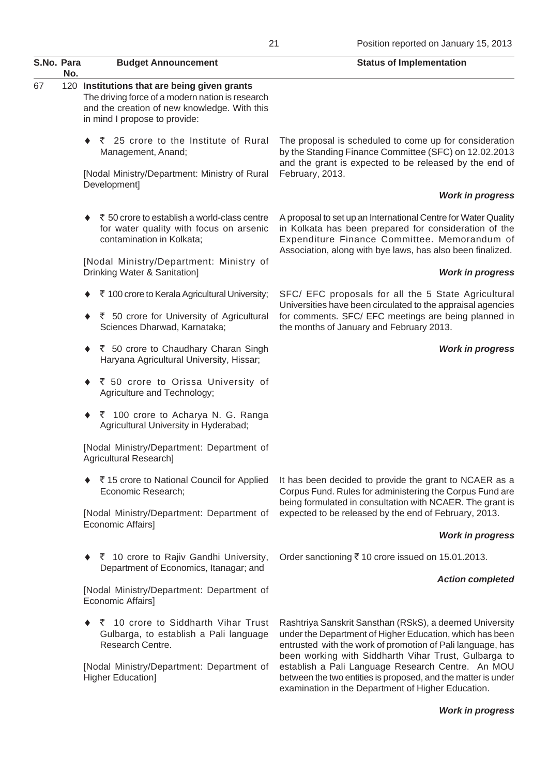| S.No. Para |     | <b>Budget Announcement</b>                                                                                                                                                        | <b>Status of Implementation</b>                                                                                                                                                                                                           |
|------------|-----|-----------------------------------------------------------------------------------------------------------------------------------------------------------------------------------|-------------------------------------------------------------------------------------------------------------------------------------------------------------------------------------------------------------------------------------------|
| 67         | No. | 120 Institutions that are being given grants<br>The driving force of a modern nation is research<br>and the creation of new knowledge. With this<br>in mind I propose to provide: |                                                                                                                                                                                                                                           |
|            |     | ◆ ₹ 25 crore to the Institute of Rural<br>Management, Anand;                                                                                                                      | The proposal is scheduled to come up for consideration<br>by the Standing Finance Committee (SFC) on 12.02.2013<br>and the grant is expected to be released by the end of                                                                 |
|            |     | [Nodal Ministry/Department: Ministry of Rural<br>Development]                                                                                                                     | February, 2013.                                                                                                                                                                                                                           |
|            |     |                                                                                                                                                                                   | <b>Work in progress</b>                                                                                                                                                                                                                   |
|            |     | ₹ 50 crore to establish a world-class centre<br>for water quality with focus on arsenic<br>contamination in Kolkata;                                                              | A proposal to set up an International Centre for Water Quality<br>in Kolkata has been prepared for consideration of the<br>Expenditure Finance Committee. Memorandum of<br>Association, along with bye laws, has also been finalized.     |
|            |     | [Nodal Ministry/Department: Ministry of<br>Drinking Water & Sanitation]                                                                                                           | <b>Work in progress</b>                                                                                                                                                                                                                   |
|            |     | ₹ 100 crore to Kerala Agricultural University;                                                                                                                                    | SFC/ EFC proposals for all the 5 State Agricultural<br>Universities have been circulated to the appraisal agencies                                                                                                                        |
|            |     | ◆ ₹ 50 crore for University of Agricultural<br>Sciences Dharwad, Karnataka;                                                                                                       | for comments. SFC/ EFC meetings are being planned in<br>the months of January and February 2013.                                                                                                                                          |
|            |     | ◆ ₹ 50 crore to Chaudhary Charan Singh<br>Haryana Agricultural University, Hissar;                                                                                                | <b>Work in progress</b>                                                                                                                                                                                                                   |
|            |     | ◆ ₹ 50 crore to Orissa University of<br>Agriculture and Technology;                                                                                                               |                                                                                                                                                                                                                                           |
|            |     | ◆ ₹ 100 crore to Acharya N. G. Ranga<br>Agricultural University in Hyderabad;                                                                                                     |                                                                                                                                                                                                                                           |
|            |     | [Nodal Ministry/Department: Department of<br>Agricultural Research]                                                                                                               |                                                                                                                                                                                                                                           |
|            |     | ◆ ₹15 crore to National Council for Applied<br>Economic Research;                                                                                                                 | It has been decided to provide the grant to NCAER as a<br>Corpus Fund. Rules for administering the Corpus Fund are                                                                                                                        |
|            |     | [Nodal Ministry/Department: Department of<br>Economic Affairs]                                                                                                                    | being formulated in consultation with NCAER. The grant is<br>expected to be released by the end of February, 2013.                                                                                                                        |
|            |     |                                                                                                                                                                                   | <b>Work in progress</b>                                                                                                                                                                                                                   |
|            |     | ◆ ₹ 10 crore to Rajiv Gandhi University,<br>Department of Economics, Itanagar; and                                                                                                | Order sanctioning ₹10 crore issued on 15.01.2013.                                                                                                                                                                                         |
|            |     | [Nodal Ministry/Department: Department of<br>Economic Affairs]                                                                                                                    | <b>Action completed</b>                                                                                                                                                                                                                   |
|            |     | ₹ 10 crore to Siddharth Vihar Trust<br>۰<br>Gulbarga, to establish a Pali language<br>Research Centre.                                                                            | Rashtriya Sanskrit Sansthan (RSkS), a deemed University<br>under the Department of Higher Education, which has been<br>entrusted with the work of promotion of Pali language, has<br>been working with Siddharth Vihar Trust, Gulbarga to |
|            |     | [Nodal Ministry/Department: Department of<br>Higher Education]                                                                                                                    | establish a Pali Language Research Centre. An MOU<br>between the two entities is proposed, and the matter is under                                                                                                                        |

*Work in progress*

examination in the Department of Higher Education.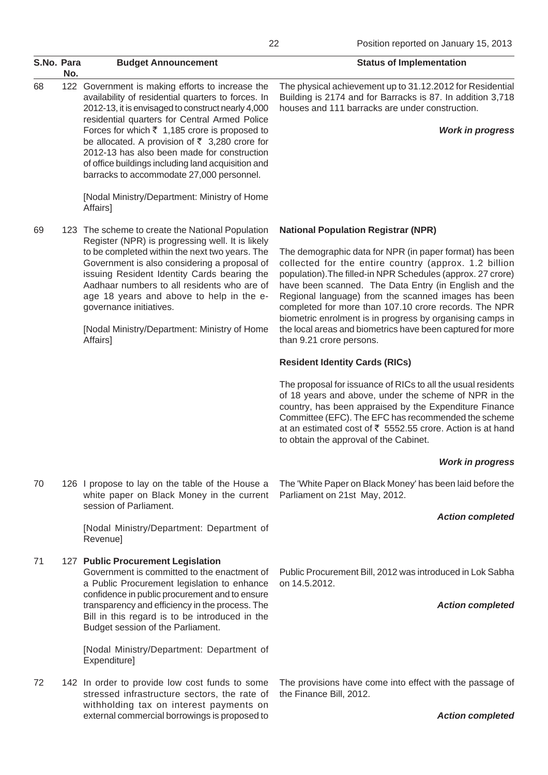| S.No. Para | No. | <b>Budget Announcement</b>                                                                                                                                                                                                                                                                                                                                                                                                                                                             | <b>Status of Implementation</b>                                                                                                                                                                                                                                                                                                                                                                                                                                                                                                                               |
|------------|-----|----------------------------------------------------------------------------------------------------------------------------------------------------------------------------------------------------------------------------------------------------------------------------------------------------------------------------------------------------------------------------------------------------------------------------------------------------------------------------------------|---------------------------------------------------------------------------------------------------------------------------------------------------------------------------------------------------------------------------------------------------------------------------------------------------------------------------------------------------------------------------------------------------------------------------------------------------------------------------------------------------------------------------------------------------------------|
| 68         | 122 | Government is making efforts to increase the<br>availability of residential quarters to forces. In<br>2012-13, it is envisaged to construct nearly 4,000<br>residential quarters for Central Armed Police<br>Forces for which $\bar{\tau}$ 1,185 crore is proposed to<br>be allocated. A provision of $\overline{5}$ 3,280 crore for<br>2012-13 has also been made for construction<br>of office buildings including land acquisition and<br>barracks to accommodate 27,000 personnel. | The physical achievement up to 31.12.2012 for Residential<br>Building is 2174 and for Barracks is 87. In addition 3,718<br>houses and 111 barracks are under construction.<br><b>Work in progress</b>                                                                                                                                                                                                                                                                                                                                                         |
|            |     | [Nodal Ministry/Department: Ministry of Home<br>Affairs]                                                                                                                                                                                                                                                                                                                                                                                                                               |                                                                                                                                                                                                                                                                                                                                                                                                                                                                                                                                                               |
| 69         |     | 123 The scheme to create the National Population<br>Register (NPR) is progressing well. It is likely<br>to be completed within the next two years. The<br>Government is also considering a proposal of<br>issuing Resident Identity Cards bearing the<br>Aadhaar numbers to all residents who are of<br>age 18 years and above to help in the e-<br>governance initiatives.<br>[Nodal Ministry/Department: Ministry of Home<br>Affairs]                                                | <b>National Population Registrar (NPR)</b><br>The demographic data for NPR (in paper format) has been<br>collected for the entire country (approx. 1.2 billion<br>population). The filled-in NPR Schedules (approx. 27 crore)<br>have been scanned. The Data Entry (in English and the<br>Regional language) from the scanned images has been<br>completed for more than 107.10 crore records. The NPR<br>biometric enrolment is in progress by organising camps in<br>the local areas and biometrics have been captured for more<br>than 9.21 crore persons. |
|            |     |                                                                                                                                                                                                                                                                                                                                                                                                                                                                                        | <b>Resident Identity Cards (RICs)</b>                                                                                                                                                                                                                                                                                                                                                                                                                                                                                                                         |
|            |     |                                                                                                                                                                                                                                                                                                                                                                                                                                                                                        | The proposal for issuance of RICs to all the usual residents<br>of 18 years and above, under the scheme of NPR in the<br>country, has been appraised by the Expenditure Finance<br>Committee (EFC). The EFC has recommended the scheme<br>at an estimated cost of ₹ 5552.55 crore. Action is at hand<br>to obtain the approval of the Cabinet.                                                                                                                                                                                                                |
|            |     |                                                                                                                                                                                                                                                                                                                                                                                                                                                                                        | <b>Work in progress</b>                                                                                                                                                                                                                                                                                                                                                                                                                                                                                                                                       |
| 70         |     | 126 I propose to lay on the table of the House a<br>white paper on Black Money in the current<br>session of Parliament.                                                                                                                                                                                                                                                                                                                                                                | The 'White Paper on Black Money' has been laid before the<br>Parliament on 21st May, 2012.                                                                                                                                                                                                                                                                                                                                                                                                                                                                    |
|            |     | [Nodal Ministry/Department: Department of<br>Revenue]                                                                                                                                                                                                                                                                                                                                                                                                                                  | <b>Action completed</b>                                                                                                                                                                                                                                                                                                                                                                                                                                                                                                                                       |
| 71         |     | 127 Public Procurement Legislation<br>Government is committed to the enactment of<br>a Public Procurement legislation to enhance<br>confidence in public procurement and to ensure<br>transparency and efficiency in the process. The<br>Bill in this regard is to be introduced in the<br>Budget session of the Parliament.                                                                                                                                                           | Public Procurement Bill, 2012 was introduced in Lok Sabha<br>on 14.5.2012.<br><b>Action completed</b>                                                                                                                                                                                                                                                                                                                                                                                                                                                         |
|            |     | [Nodal Ministry/Department: Department of<br>Expenditure]                                                                                                                                                                                                                                                                                                                                                                                                                              |                                                                                                                                                                                                                                                                                                                                                                                                                                                                                                                                                               |
| 72         |     | 142 In order to provide low cost funds to some<br>stressed infrastructure sectors, the rate of<br>withholding tax on interest payments on                                                                                                                                                                                                                                                                                                                                              | The provisions have come into effect with the passage of<br>the Finance Bill, 2012.                                                                                                                                                                                                                                                                                                                                                                                                                                                                           |
|            |     | external commercial borrowings is proposed to                                                                                                                                                                                                                                                                                                                                                                                                                                          | <b>Action completed</b>                                                                                                                                                                                                                                                                                                                                                                                                                                                                                                                                       |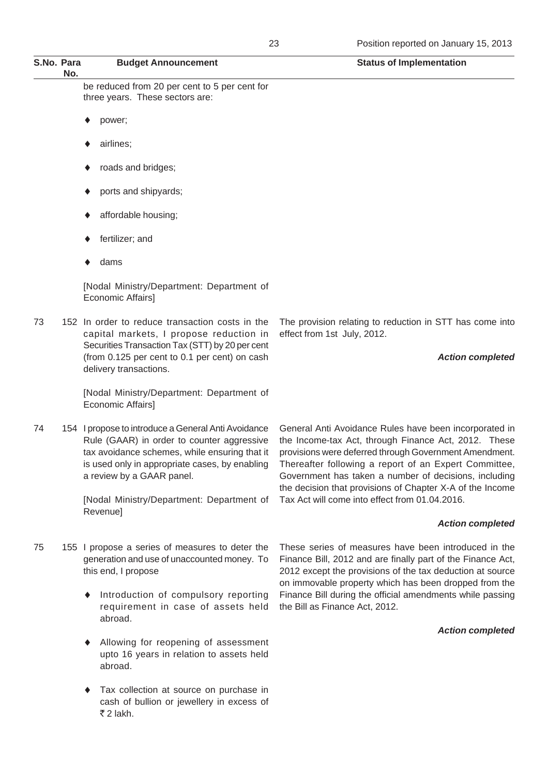| S.No. Para | No. | <b>Budget Announcement</b>                                                                                                                                                                                                        | <b>Status of Implementation</b>                                                                                                                                                                                                                                                                                                                        |
|------------|-----|-----------------------------------------------------------------------------------------------------------------------------------------------------------------------------------------------------------------------------------|--------------------------------------------------------------------------------------------------------------------------------------------------------------------------------------------------------------------------------------------------------------------------------------------------------------------------------------------------------|
|            |     | be reduced from 20 per cent to 5 per cent for<br>three years. These sectors are:                                                                                                                                                  |                                                                                                                                                                                                                                                                                                                                                        |
|            |     | power;                                                                                                                                                                                                                            |                                                                                                                                                                                                                                                                                                                                                        |
|            |     | airlines;                                                                                                                                                                                                                         |                                                                                                                                                                                                                                                                                                                                                        |
|            |     | roads and bridges;                                                                                                                                                                                                                |                                                                                                                                                                                                                                                                                                                                                        |
|            |     | ports and shipyards;                                                                                                                                                                                                              |                                                                                                                                                                                                                                                                                                                                                        |
|            |     | affordable housing;                                                                                                                                                                                                               |                                                                                                                                                                                                                                                                                                                                                        |
|            |     | fertilizer; and                                                                                                                                                                                                                   |                                                                                                                                                                                                                                                                                                                                                        |
|            |     | dams                                                                                                                                                                                                                              |                                                                                                                                                                                                                                                                                                                                                        |
|            |     | [Nodal Ministry/Department: Department of<br>Economic Affairs]                                                                                                                                                                    |                                                                                                                                                                                                                                                                                                                                                        |
| 73         |     | 152 In order to reduce transaction costs in the<br>capital markets, I propose reduction in<br>Securities Transaction Tax (STT) by 20 per cent                                                                                     | The provision relating to reduction in STT has come into<br>effect from 1st July, 2012.                                                                                                                                                                                                                                                                |
|            |     | (from 0.125 per cent to 0.1 per cent) on cash<br>delivery transactions.                                                                                                                                                           | <b>Action completed</b>                                                                                                                                                                                                                                                                                                                                |
|            |     | [Nodal Ministry/Department: Department of<br>Economic Affairs]                                                                                                                                                                    |                                                                                                                                                                                                                                                                                                                                                        |
| 74         |     | 154 I propose to introduce a General Anti Avoidance<br>Rule (GAAR) in order to counter aggressive<br>tax avoidance schemes, while ensuring that it<br>is used only in appropriate cases, by enabling<br>a review by a GAAR panel. | General Anti Avoidance Rules have been incorporated in<br>the Income-tax Act, through Finance Act, 2012. These<br>provisions were deferred through Government Amendment.<br>Thereafter following a report of an Expert Committee<br>Government has taken a number of decisions, including<br>the decision that provisions of Chapter X-A of the Income |
|            |     | [Nodal Ministry/Department: Department of<br>Revenue]                                                                                                                                                                             | Tax Act will come into effect from 01.04.2016.                                                                                                                                                                                                                                                                                                         |
|            |     |                                                                                                                                                                                                                                   | <b>Action completed</b>                                                                                                                                                                                                                                                                                                                                |
| 75         |     | 155 I propose a series of measures to deter the<br>generation and use of unaccounted money. To<br>this end, I propose                                                                                                             | These series of measures have been introduced in the<br>Finance Bill, 2012 and are finally part of the Finance Act,<br>2012 except the provisions of the tax deduction at source<br>on immovable property which has been dropped from the                                                                                                              |
|            |     | Introduction of compulsory reporting<br>requirement in case of assets held<br>abroad.                                                                                                                                             | Finance Bill during the official amendments while passing<br>the Bill as Finance Act, 2012.                                                                                                                                                                                                                                                            |
|            |     |                                                                                                                                                                                                                                   | <b>Action completed</b>                                                                                                                                                                                                                                                                                                                                |
|            |     | Allowing for reopening of assessment<br>upto 16 years in relation to assets held<br>abroad.                                                                                                                                       |                                                                                                                                                                                                                                                                                                                                                        |

♦ Tax collection at source on purchase in cash of bullion or jewellery in excess of  $\bar{z}$  2 lakh.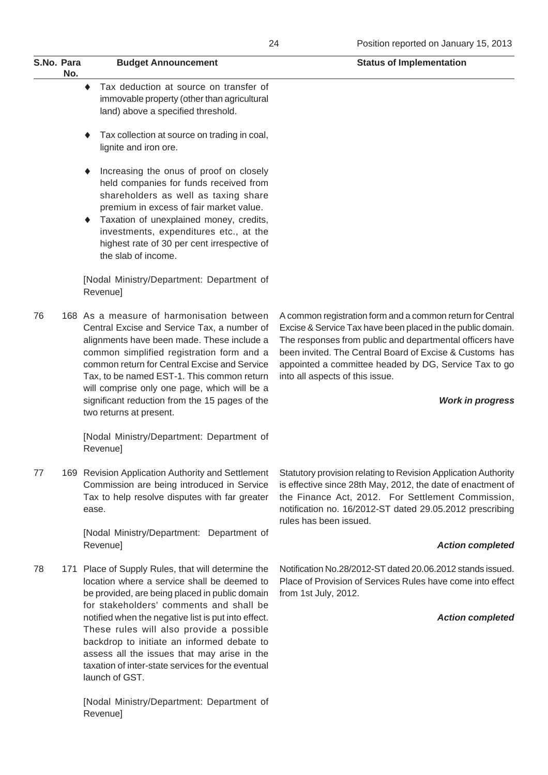| S.No. Para<br>No. | <b>Budget Announcement</b>                  | <b>Status of Implementation</b> |
|-------------------|---------------------------------------------|---------------------------------|
|                   | Tax deduction at source on transfer of      |                                 |
|                   | immovable property (other than agricultural |                                 |
|                   | land) above a specified threshold.          |                                 |

- ♦ Tax collection at source on trading in coal, lignite and iron ore.
- Increasing the onus of proof on closely held companies for funds received from shareholders as well as taxing share premium in excess of fair market value.
- Taxation of unexplained money, credits, investments, expenditures etc., at the highest rate of 30 per cent irrespective of the slab of income.

[Nodal Ministry/Department: Department of Revenue]

76 168 As a measure of harmonisation between Central Excise and Service Tax, a number of alignments have been made. These include a common simplified registration form and a common return for Central Excise and Service Tax, to be named EST-1. This common return will comprise only one page, which will be a significant reduction from the 15 pages of the two returns at present.

> [Nodal Ministry/Department: Department of Revenue]

77 169 Revision Application Authority and Settlement Commission are being introduced in Service Tax to help resolve disputes with far greater ease.

> [Nodal Ministry/Department: Department of Revenue]

78 171 Place of Supply Rules, that will determine the location where a service shall be deemed to be provided, are being placed in public domain for stakeholders' comments and shall be notified when the negative list is put into effect. These rules will also provide a possible backdrop to initiate an informed debate to assess all the issues that may arise in the taxation of inter-state services for the eventual launch of GST.

> [Nodal Ministry/Department: Department of Revenue]

A common registration form and a common return for Central Excise & Service Tax have been placed in the public domain. The responses from public and departmental officers have been invited. The Central Board of Excise & Customs has appointed a committee headed by DG, Service Tax to go into all aspects of this issue.

#### *Work in progress*

Statutory provision relating to Revision Application Authority is effective since 28th May, 2012, the date of enactment of the Finance Act, 2012. For Settlement Commission, notification no. 16/2012-ST dated 29.05.2012 prescribing rules has been issued.

#### *Action completed*

Notification No.28/2012-ST dated 20.06.2012 stands issued. Place of Provision of Services Rules have come into effect from 1st July, 2012.

## *Action completed*